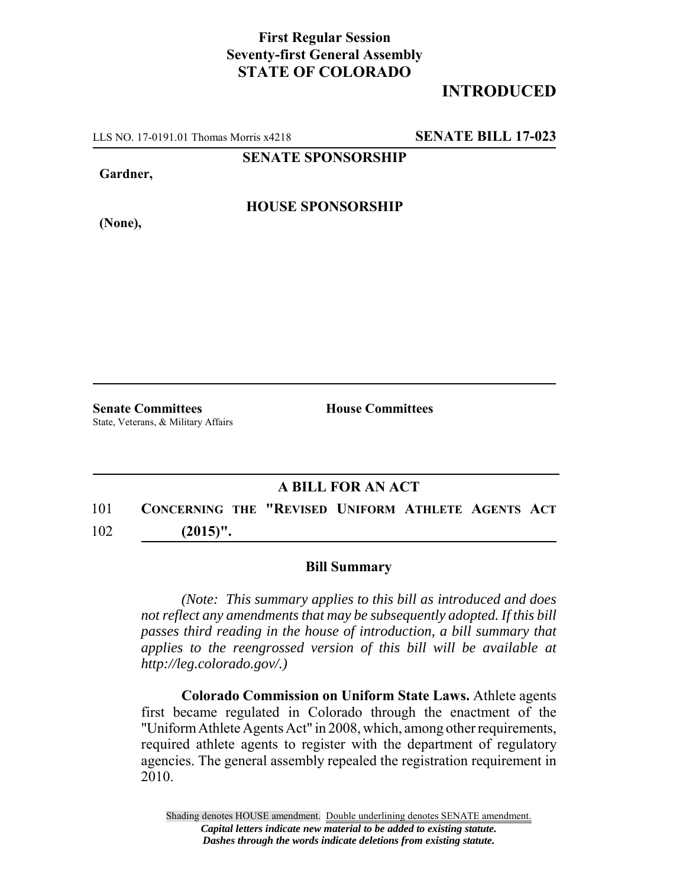## **First Regular Session Seventy-first General Assembly STATE OF COLORADO**

## **INTRODUCED**

LLS NO. 17-0191.01 Thomas Morris x4218 **SENATE BILL 17-023**

**SENATE SPONSORSHIP**

**Gardner,**

**HOUSE SPONSORSHIP**

**(None),**

**Senate Committees House Committees** State, Veterans, & Military Affairs

## **A BILL FOR AN ACT**

101 **CONCERNING THE "REVISED UNIFORM ATHLETE AGENTS ACT** 102 **(2015)".**

## **Bill Summary**

*(Note: This summary applies to this bill as introduced and does not reflect any amendments that may be subsequently adopted. If this bill passes third reading in the house of introduction, a bill summary that applies to the reengrossed version of this bill will be available at http://leg.colorado.gov/.)*

**Colorado Commission on Uniform State Laws.** Athlete agents first became regulated in Colorado through the enactment of the "Uniform Athlete Agents Act" in 2008, which, among other requirements, required athlete agents to register with the department of regulatory agencies. The general assembly repealed the registration requirement in 2010.

Shading denotes HOUSE amendment. Double underlining denotes SENATE amendment. *Capital letters indicate new material to be added to existing statute. Dashes through the words indicate deletions from existing statute.*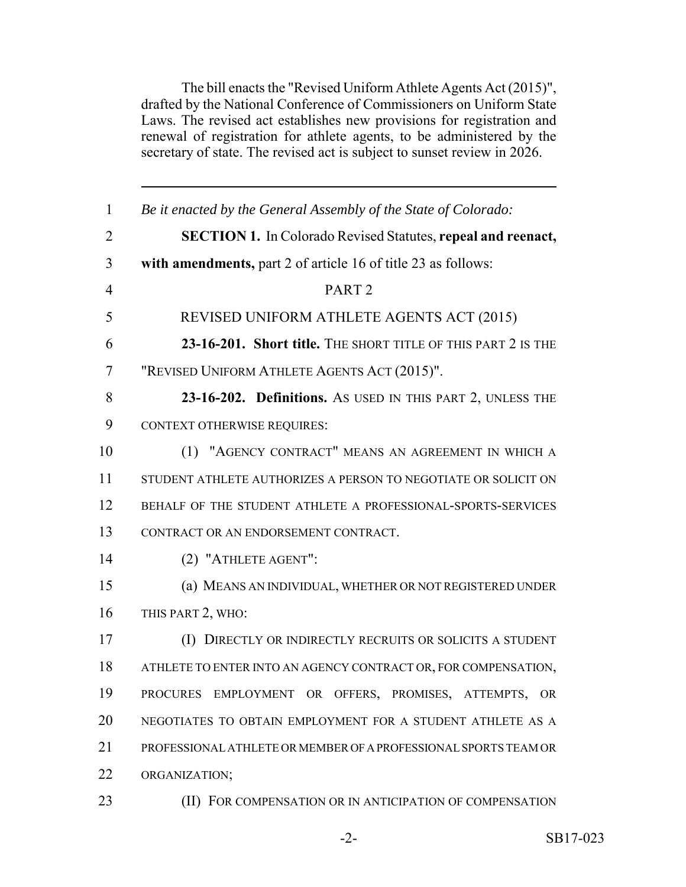The bill enacts the "Revised Uniform Athlete Agents Act (2015)", drafted by the National Conference of Commissioners on Uniform State Laws. The revised act establishes new provisions for registration and renewal of registration for athlete agents, to be administered by the secretary of state. The revised act is subject to sunset review in 2026.

| $\mathbf{1}$   | Be it enacted by the General Assembly of the State of Colorado:     |
|----------------|---------------------------------------------------------------------|
| $\overline{2}$ | <b>SECTION 1.</b> In Colorado Revised Statutes, repeal and reenact, |
| 3              | with amendments, part 2 of article 16 of title 23 as follows:       |
| $\overline{4}$ | PART <sub>2</sub>                                                   |
| 5              | REVISED UNIFORM ATHLETE AGENTS ACT (2015)                           |
| 6              | 23-16-201. Short title. THE SHORT TITLE OF THIS PART 2 IS THE       |
| $\tau$         | "REVISED UNIFORM ATHLETE AGENTS ACT (2015)".                        |
| 8              | 23-16-202. Definitions. As USED IN THIS PART 2, UNLESS THE          |
| 9              | <b>CONTEXT OTHERWISE REQUIRES:</b>                                  |
| 10             | (1) "AGENCY CONTRACT" MEANS AN AGREEMENT IN WHICH A                 |
| 11             | STUDENT ATHLETE AUTHORIZES A PERSON TO NEGOTIATE OR SOLICIT ON      |
| 12             | BEHALF OF THE STUDENT ATHLETE A PROFESSIONAL-SPORTS-SERVICES        |
| 13             | CONTRACT OR AN ENDORSEMENT CONTRACT.                                |
| 14             | (2) "ATHLETE AGENT":                                                |
| 15             | (a) MEANS AN INDIVIDUAL, WHETHER OR NOT REGISTERED UNDER            |
| 16             | THIS PART 2, WHO:                                                   |
| 17             | (I) DIRECTLY OR INDIRECTLY RECRUITS OR SOLICITS A STUDENT           |
| 18             | ATHLETE TO ENTER INTO AN AGENCY CONTRACT OR, FOR COMPENSATION,      |
| 19             | PROCURES EMPLOYMENT OR OFFERS, PROMISES, ATTEMPTS, OR               |
| 20             | NEGOTIATES TO OBTAIN EMPLOYMENT FOR A STUDENT ATHLETE AS A          |
| 21             | PROFESSIONAL ATHLETE OR MEMBER OF A PROFESSIONAL SPORTS TEAM OR     |
| 22             | ORGANIZATION;                                                       |
| 23             | (II) FOR COMPENSATION OR IN ANTICIPATION OF COMPENSATION            |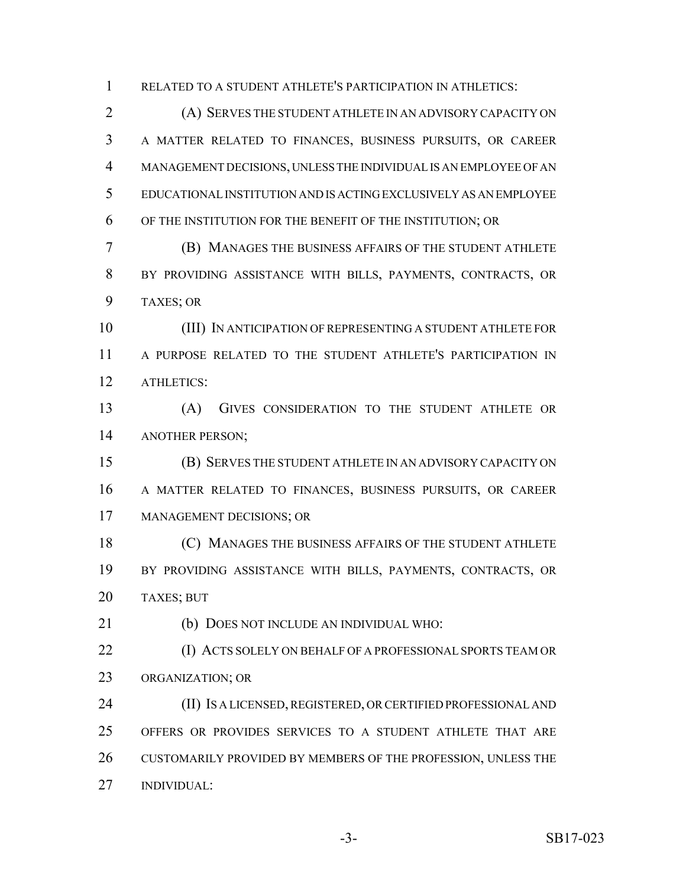RELATED TO A STUDENT ATHLETE'S PARTICIPATION IN ATHLETICS:

 (A) SERVES THE STUDENT ATHLETE IN AN ADVISORY CAPACITY ON A MATTER RELATED TO FINANCES, BUSINESS PURSUITS, OR CAREER MANAGEMENT DECISIONS, UNLESS THE INDIVIDUAL IS AN EMPLOYEE OF AN EDUCATIONAL INSTITUTION AND IS ACTING EXCLUSIVELY AS AN EMPLOYEE OF THE INSTITUTION FOR THE BENEFIT OF THE INSTITUTION; OR

 (B) MANAGES THE BUSINESS AFFAIRS OF THE STUDENT ATHLETE BY PROVIDING ASSISTANCE WITH BILLS, PAYMENTS, CONTRACTS, OR TAXES; OR

 (III) IN ANTICIPATION OF REPRESENTING A STUDENT ATHLETE FOR A PURPOSE RELATED TO THE STUDENT ATHLETE'S PARTICIPATION IN ATHLETICS:

 (A) GIVES CONSIDERATION TO THE STUDENT ATHLETE OR ANOTHER PERSON;

 (B) SERVES THE STUDENT ATHLETE IN AN ADVISORY CAPACITY ON A MATTER RELATED TO FINANCES, BUSINESS PURSUITS, OR CAREER MANAGEMENT DECISIONS; OR

 (C) MANAGES THE BUSINESS AFFAIRS OF THE STUDENT ATHLETE BY PROVIDING ASSISTANCE WITH BILLS, PAYMENTS, CONTRACTS, OR TAXES; BUT

(b) DOES NOT INCLUDE AN INDIVIDUAL WHO:

 (I) ACTS SOLELY ON BEHALF OF A PROFESSIONAL SPORTS TEAM OR ORGANIZATION; OR

 (II) IS A LICENSED, REGISTERED, OR CERTIFIED PROFESSIONAL AND OFFERS OR PROVIDES SERVICES TO A STUDENT ATHLETE THAT ARE CUSTOMARILY PROVIDED BY MEMBERS OF THE PROFESSION, UNLESS THE INDIVIDUAL: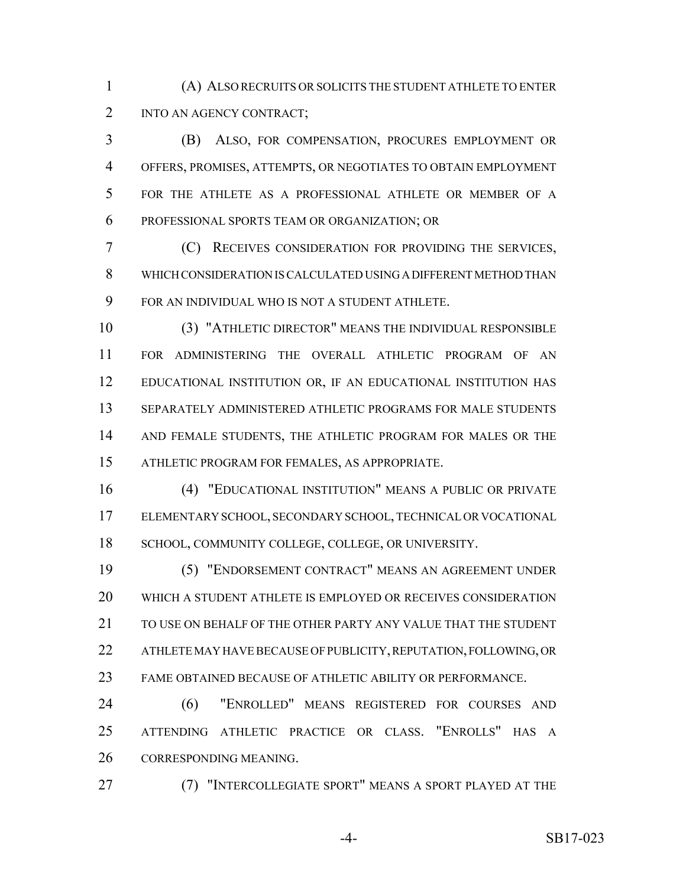(A) ALSO RECRUITS OR SOLICITS THE STUDENT ATHLETE TO ENTER INTO AN AGENCY CONTRACT;

 (B) ALSO, FOR COMPENSATION, PROCURES EMPLOYMENT OR OFFERS, PROMISES, ATTEMPTS, OR NEGOTIATES TO OBTAIN EMPLOYMENT FOR THE ATHLETE AS A PROFESSIONAL ATHLETE OR MEMBER OF A PROFESSIONAL SPORTS TEAM OR ORGANIZATION; OR

 (C) RECEIVES CONSIDERATION FOR PROVIDING THE SERVICES, WHICH CONSIDERATION IS CALCULATED USING A DIFFERENT METHOD THAN FOR AN INDIVIDUAL WHO IS NOT A STUDENT ATHLETE.

 (3) "ATHLETIC DIRECTOR" MEANS THE INDIVIDUAL RESPONSIBLE FOR ADMINISTERING THE OVERALL ATHLETIC PROGRAM OF AN EDUCATIONAL INSTITUTION OR, IF AN EDUCATIONAL INSTITUTION HAS SEPARATELY ADMINISTERED ATHLETIC PROGRAMS FOR MALE STUDENTS 14 AND FEMALE STUDENTS, THE ATHLETIC PROGRAM FOR MALES OR THE ATHLETIC PROGRAM FOR FEMALES, AS APPROPRIATE.

 (4) "EDUCATIONAL INSTITUTION" MEANS A PUBLIC OR PRIVATE ELEMENTARY SCHOOL, SECONDARY SCHOOL, TECHNICAL OR VOCATIONAL 18 SCHOOL, COMMUNITY COLLEGE, COLLEGE, OR UNIVERSITY.

 (5) "ENDORSEMENT CONTRACT" MEANS AN AGREEMENT UNDER WHICH A STUDENT ATHLETE IS EMPLOYED OR RECEIVES CONSIDERATION 21 TO USE ON BEHALF OF THE OTHER PARTY ANY VALUE THAT THE STUDENT ATHLETE MAY HAVE BECAUSE OF PUBLICITY, REPUTATION, FOLLOWING, OR FAME OBTAINED BECAUSE OF ATHLETIC ABILITY OR PERFORMANCE.

 (6) "ENROLLED" MEANS REGISTERED FOR COURSES AND ATTENDING ATHLETIC PRACTICE OR CLASS. "ENROLLS" HAS A CORRESPONDING MEANING.

(7) "INTERCOLLEGIATE SPORT" MEANS A SPORT PLAYED AT THE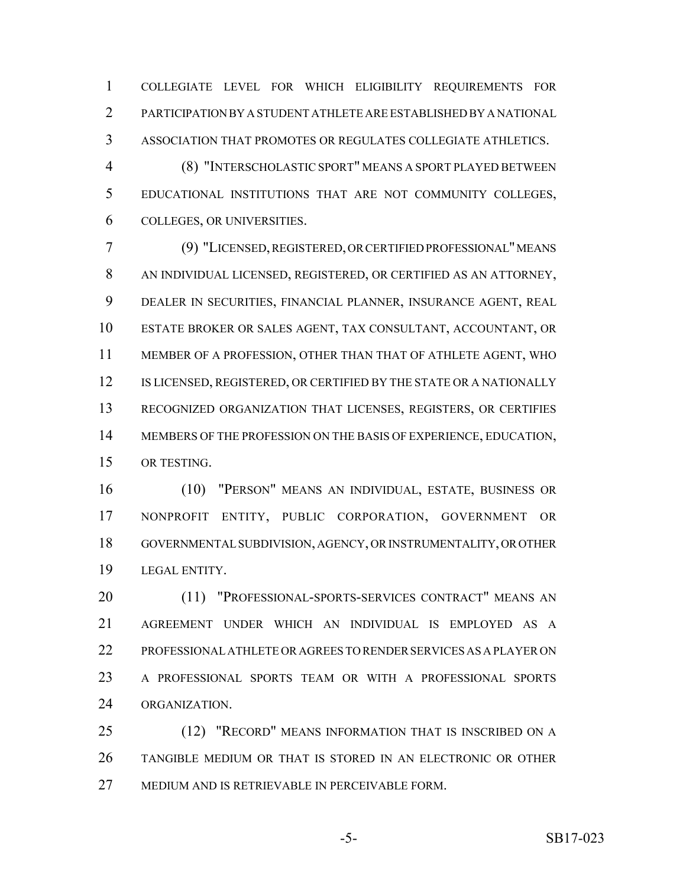COLLEGIATE LEVEL FOR WHICH ELIGIBILITY REQUIREMENTS FOR PARTICIPATION BY A STUDENT ATHLETE ARE ESTABLISHED BY A NATIONAL ASSOCIATION THAT PROMOTES OR REGULATES COLLEGIATE ATHLETICS.

 (8) "INTERSCHOLASTIC SPORT" MEANS A SPORT PLAYED BETWEEN EDUCATIONAL INSTITUTIONS THAT ARE NOT COMMUNITY COLLEGES, COLLEGES, OR UNIVERSITIES.

 (9) "LICENSED, REGISTERED, OR CERTIFIED PROFESSIONAL" MEANS AN INDIVIDUAL LICENSED, REGISTERED, OR CERTIFIED AS AN ATTORNEY, DEALER IN SECURITIES, FINANCIAL PLANNER, INSURANCE AGENT, REAL ESTATE BROKER OR SALES AGENT, TAX CONSULTANT, ACCOUNTANT, OR MEMBER OF A PROFESSION, OTHER THAN THAT OF ATHLETE AGENT, WHO 12 IS LICENSED, REGISTERED, OR CERTIFIED BY THE STATE OR A NATIONALLY RECOGNIZED ORGANIZATION THAT LICENSES, REGISTERS, OR CERTIFIES MEMBERS OF THE PROFESSION ON THE BASIS OF EXPERIENCE, EDUCATION, OR TESTING.

 (10) "PERSON" MEANS AN INDIVIDUAL, ESTATE, BUSINESS OR NONPROFIT ENTITY, PUBLIC CORPORATION, GOVERNMENT OR GOVERNMENTAL SUBDIVISION, AGENCY, OR INSTRUMENTALITY, OR OTHER LEGAL ENTITY.

20 (11) "PROFESSIONAL-SPORTS-SERVICES CONTRACT" MEANS AN AGREEMENT UNDER WHICH AN INDIVIDUAL IS EMPLOYED AS A PROFESSIONAL ATHLETE OR AGREES TO RENDER SERVICES AS A PLAYER ON A PROFESSIONAL SPORTS TEAM OR WITH A PROFESSIONAL SPORTS ORGANIZATION.

 (12) "RECORD" MEANS INFORMATION THAT IS INSCRIBED ON A TANGIBLE MEDIUM OR THAT IS STORED IN AN ELECTRONIC OR OTHER MEDIUM AND IS RETRIEVABLE IN PERCEIVABLE FORM.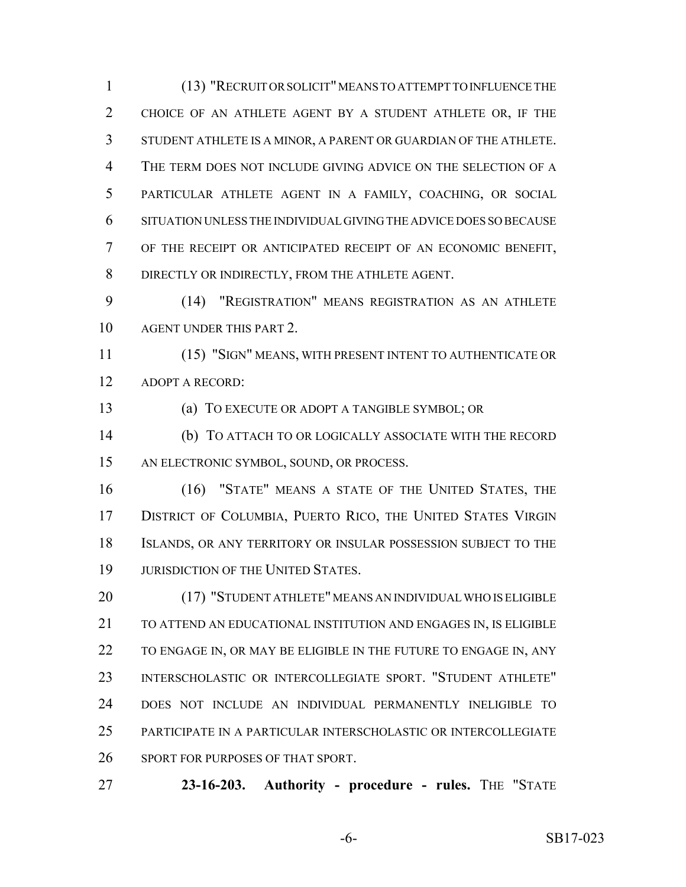(13) "RECRUIT OR SOLICIT" MEANS TO ATTEMPT TO INFLUENCE THE CHOICE OF AN ATHLETE AGENT BY A STUDENT ATHLETE OR, IF THE STUDENT ATHLETE IS A MINOR, A PARENT OR GUARDIAN OF THE ATHLETE. THE TERM DOES NOT INCLUDE GIVING ADVICE ON THE SELECTION OF A PARTICULAR ATHLETE AGENT IN A FAMILY, COACHING, OR SOCIAL SITUATION UNLESS THE INDIVIDUAL GIVING THE ADVICE DOES SO BECAUSE OF THE RECEIPT OR ANTICIPATED RECEIPT OF AN ECONOMIC BENEFIT, DIRECTLY OR INDIRECTLY, FROM THE ATHLETE AGENT.

 (14) "REGISTRATION" MEANS REGISTRATION AS AN ATHLETE AGENT UNDER THIS PART 2.

 (15) "SIGN" MEANS, WITH PRESENT INTENT TO AUTHENTICATE OR ADOPT A RECORD:

(a) TO EXECUTE OR ADOPT A TANGIBLE SYMBOL; OR

 (b) TO ATTACH TO OR LOGICALLY ASSOCIATE WITH THE RECORD AN ELECTRONIC SYMBOL, SOUND, OR PROCESS.

 (16) "STATE" MEANS A STATE OF THE UNITED STATES, THE 17 DISTRICT OF COLUMBIA, PUERTO RICO, THE UNITED STATES VIRGIN ISLANDS, OR ANY TERRITORY OR INSULAR POSSESSION SUBJECT TO THE 19 JURISDICTION OF THE UNITED STATES.

 (17) "STUDENT ATHLETE" MEANS AN INDIVIDUAL WHO IS ELIGIBLE TO ATTEND AN EDUCATIONAL INSTITUTION AND ENGAGES IN, IS ELIGIBLE 22 TO ENGAGE IN, OR MAY BE ELIGIBLE IN THE FUTURE TO ENGAGE IN, ANY INTERSCHOLASTIC OR INTERCOLLEGIATE SPORT. "STUDENT ATHLETE" DOES NOT INCLUDE AN INDIVIDUAL PERMANENTLY INELIGIBLE TO PARTICIPATE IN A PARTICULAR INTERSCHOLASTIC OR INTERCOLLEGIATE SPORT FOR PURPOSES OF THAT SPORT.

**23-16-203. Authority - procedure - rules.** THE "STATE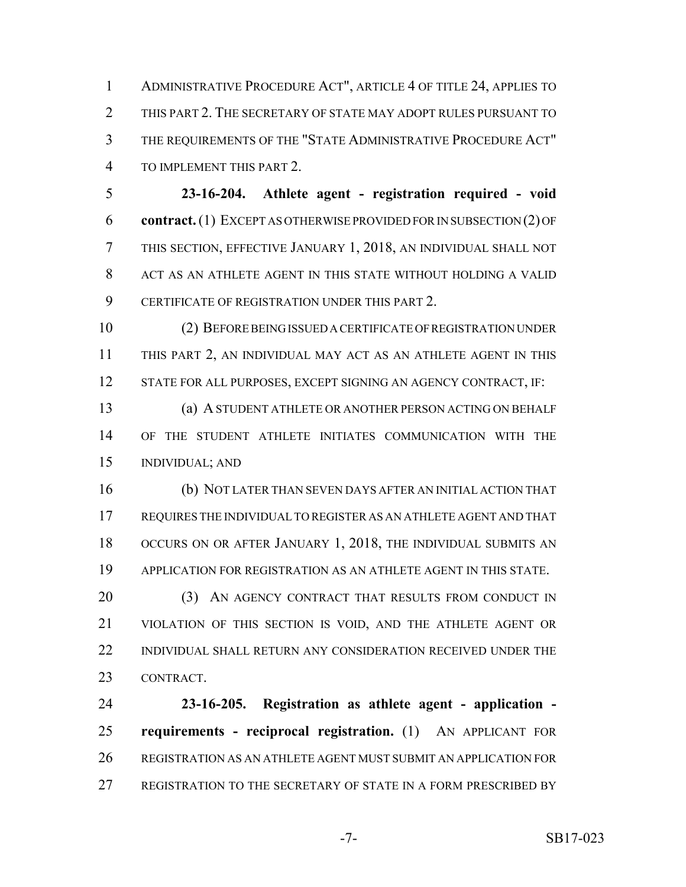ADMINISTRATIVE PROCEDURE ACT", ARTICLE 4 OF TITLE 24, APPLIES TO THIS PART 2. THE SECRETARY OF STATE MAY ADOPT RULES PURSUANT TO THE REQUIREMENTS OF THE "STATE ADMINISTRATIVE PROCEDURE ACT" TO IMPLEMENT THIS PART 2.

 **23-16-204. Athlete agent - registration required - void contract.** (1) EXCEPT AS OTHERWISE PROVIDED FOR IN SUBSECTION (2) OF THIS SECTION, EFFECTIVE JANUARY 1, 2018, AN INDIVIDUAL SHALL NOT ACT AS AN ATHLETE AGENT IN THIS STATE WITHOUT HOLDING A VALID CERTIFICATE OF REGISTRATION UNDER THIS PART 2.

 (2) BEFORE BEING ISSUED A CERTIFICATE OF REGISTRATION UNDER THIS PART 2, AN INDIVIDUAL MAY ACT AS AN ATHLETE AGENT IN THIS STATE FOR ALL PURPOSES, EXCEPT SIGNING AN AGENCY CONTRACT, IF:

 (a) A STUDENT ATHLETE OR ANOTHER PERSON ACTING ON BEHALF OF THE STUDENT ATHLETE INITIATES COMMUNICATION WITH THE INDIVIDUAL; AND

 (b) NOT LATER THAN SEVEN DAYS AFTER AN INITIAL ACTION THAT REQUIRES THE INDIVIDUAL TO REGISTER AS AN ATHLETE AGENT AND THAT OCCURS ON OR AFTER JANUARY 1, 2018, THE INDIVIDUAL SUBMITS AN APPLICATION FOR REGISTRATION AS AN ATHLETE AGENT IN THIS STATE.

20 (3) AN AGENCY CONTRACT THAT RESULTS FROM CONDUCT IN VIOLATION OF THIS SECTION IS VOID, AND THE ATHLETE AGENT OR 22 INDIVIDUAL SHALL RETURN ANY CONSIDERATION RECEIVED UNDER THE CONTRACT.

 **23-16-205. Registration as athlete agent - application - requirements - reciprocal registration.** (1) AN APPLICANT FOR REGISTRATION AS AN ATHLETE AGENT MUST SUBMIT AN APPLICATION FOR REGISTRATION TO THE SECRETARY OF STATE IN A FORM PRESCRIBED BY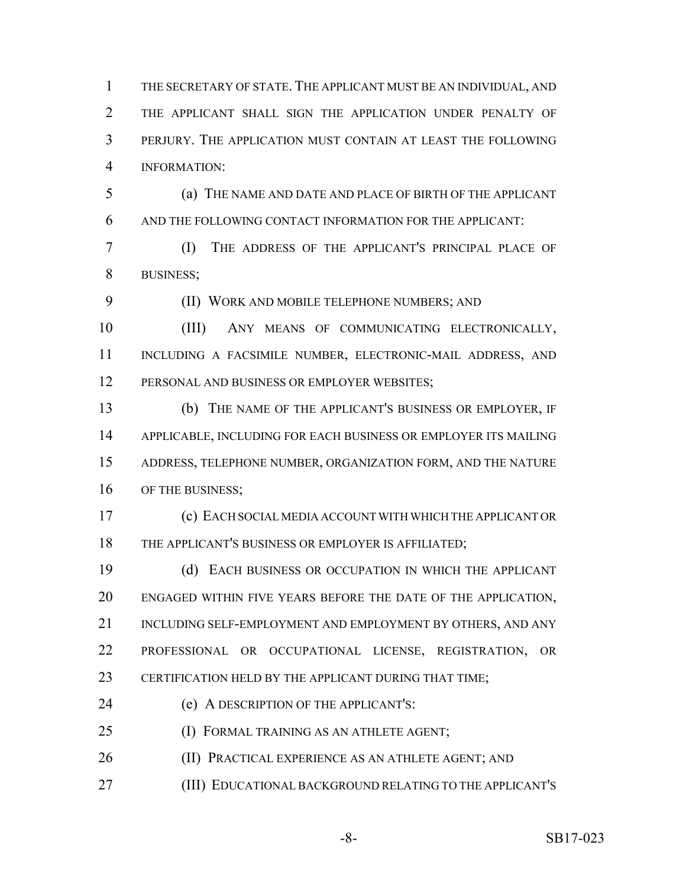THE SECRETARY OF STATE. THE APPLICANT MUST BE AN INDIVIDUAL, AND THE APPLICANT SHALL SIGN THE APPLICATION UNDER PENALTY OF PERJURY. THE APPLICATION MUST CONTAIN AT LEAST THE FOLLOWING INFORMATION:

 (a) THE NAME AND DATE AND PLACE OF BIRTH OF THE APPLICANT AND THE FOLLOWING CONTACT INFORMATION FOR THE APPLICANT:

 (I) THE ADDRESS OF THE APPLICANT'S PRINCIPAL PLACE OF BUSINESS;

(II) WORK AND MOBILE TELEPHONE NUMBERS; AND

 (III) ANY MEANS OF COMMUNICATING ELECTRONICALLY, INCLUDING A FACSIMILE NUMBER, ELECTRONIC-MAIL ADDRESS, AND PERSONAL AND BUSINESS OR EMPLOYER WEBSITES;

 (b) THE NAME OF THE APPLICANT'S BUSINESS OR EMPLOYER, IF APPLICABLE, INCLUDING FOR EACH BUSINESS OR EMPLOYER ITS MAILING ADDRESS, TELEPHONE NUMBER, ORGANIZATION FORM, AND THE NATURE 16 OF THE BUSINESS;

 (c) EACH SOCIAL MEDIA ACCOUNT WITH WHICH THE APPLICANT OR THE APPLICANT'S BUSINESS OR EMPLOYER IS AFFILIATED;

 (d) EACH BUSINESS OR OCCUPATION IN WHICH THE APPLICANT ENGAGED WITHIN FIVE YEARS BEFORE THE DATE OF THE APPLICATION, INCLUDING SELF-EMPLOYMENT AND EMPLOYMENT BY OTHERS, AND ANY PROFESSIONAL OR OCCUPATIONAL LICENSE, REGISTRATION, OR 23 CERTIFICATION HELD BY THE APPLICANT DURING THAT TIME;

(e) A DESCRIPTION OF THE APPLICANT'S:

(I) FORMAL TRAINING AS AN ATHLETE AGENT;

26 (II) PRACTICAL EXPERIENCE AS AN ATHLETE AGENT; AND

(III) EDUCATIONAL BACKGROUND RELATING TO THE APPLICANT'S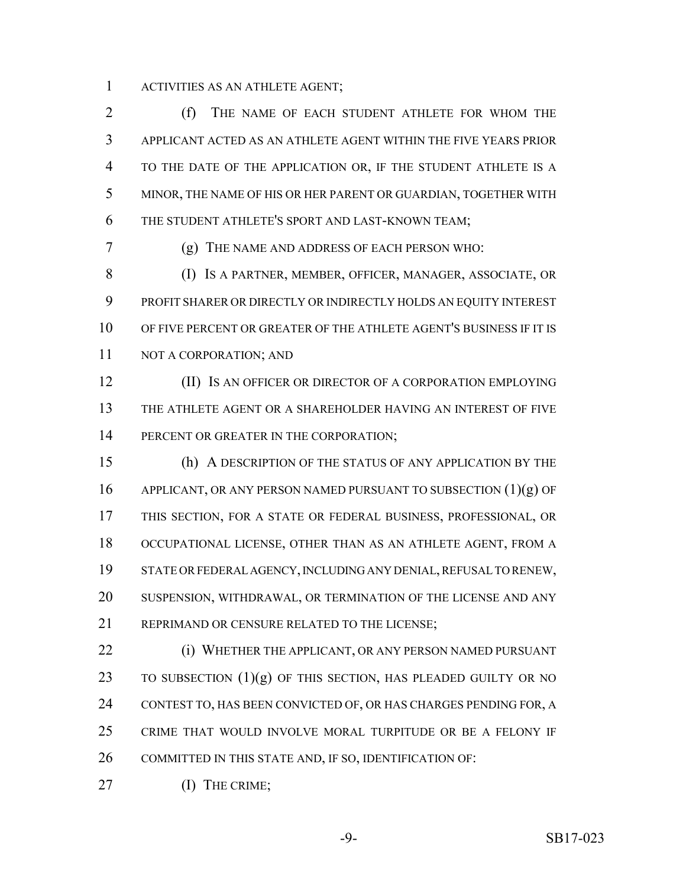ACTIVITIES AS AN ATHLETE AGENT;

 (f) THE NAME OF EACH STUDENT ATHLETE FOR WHOM THE APPLICANT ACTED AS AN ATHLETE AGENT WITHIN THE FIVE YEARS PRIOR TO THE DATE OF THE APPLICATION OR, IF THE STUDENT ATHLETE IS A MINOR, THE NAME OF HIS OR HER PARENT OR GUARDIAN, TOGETHER WITH THE STUDENT ATHLETE'S SPORT AND LAST-KNOWN TEAM;

(g) THE NAME AND ADDRESS OF EACH PERSON WHO:

 (I) IS A PARTNER, MEMBER, OFFICER, MANAGER, ASSOCIATE, OR PROFIT SHARER OR DIRECTLY OR INDIRECTLY HOLDS AN EQUITY INTEREST OF FIVE PERCENT OR GREATER OF THE ATHLETE AGENT'S BUSINESS IF IT IS 11 NOT A CORPORATION; AND

 (II) IS AN OFFICER OR DIRECTOR OF A CORPORATION EMPLOYING THE ATHLETE AGENT OR A SHAREHOLDER HAVING AN INTEREST OF FIVE 14 PERCENT OR GREATER IN THE CORPORATION;

 (h) A DESCRIPTION OF THE STATUS OF ANY APPLICATION BY THE 16 APPLICANT, OR ANY PERSON NAMED PURSUANT TO SUBSECTION (1)(g) OF THIS SECTION, FOR A STATE OR FEDERAL BUSINESS, PROFESSIONAL, OR OCCUPATIONAL LICENSE, OTHER THAN AS AN ATHLETE AGENT, FROM A STATE OR FEDERAL AGENCY, INCLUDING ANY DENIAL, REFUSAL TO RENEW, SUSPENSION, WITHDRAWAL, OR TERMINATION OF THE LICENSE AND ANY REPRIMAND OR CENSURE RELATED TO THE LICENSE;

 (i) WHETHER THE APPLICANT, OR ANY PERSON NAMED PURSUANT 23 TO SUBSECTION  $(1)(g)$  OF THIS SECTION, HAS PLEADED GUILTY OR NO CONTEST TO, HAS BEEN CONVICTED OF, OR HAS CHARGES PENDING FOR, A CRIME THAT WOULD INVOLVE MORAL TURPITUDE OR BE A FELONY IF COMMITTED IN THIS STATE AND, IF SO, IDENTIFICATION OF:

27 (I) THE CRIME;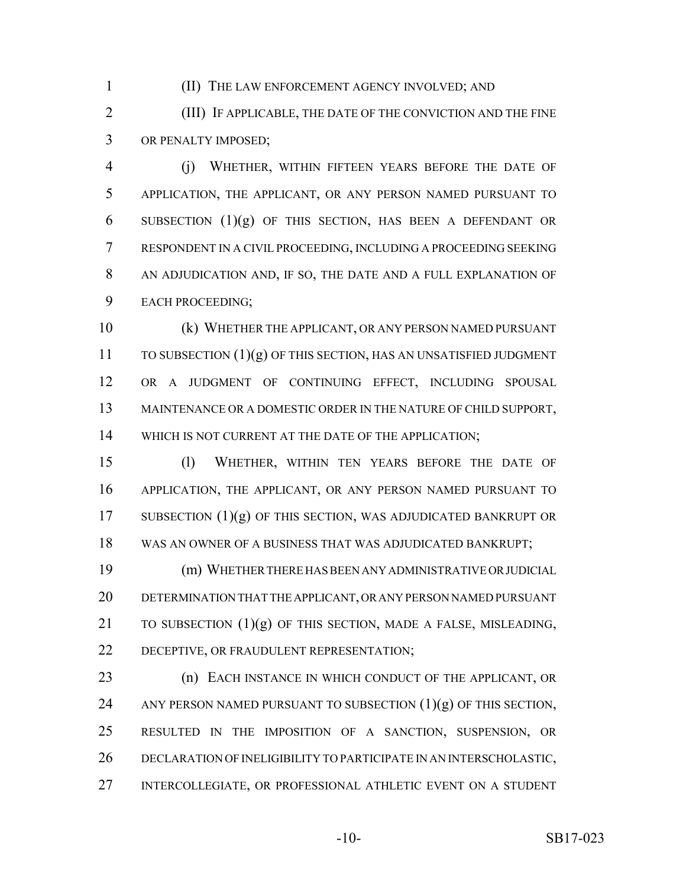(II) THE LAW ENFORCEMENT AGENCY INVOLVED; AND

 (III) IF APPLICABLE, THE DATE OF THE CONVICTION AND THE FINE OR PENALTY IMPOSED;

 (j) WHETHER, WITHIN FIFTEEN YEARS BEFORE THE DATE OF APPLICATION, THE APPLICANT, OR ANY PERSON NAMED PURSUANT TO 6 SUBSECTION  $(1)(g)$  OF THIS SECTION, HAS BEEN A DEFENDANT OR RESPONDENT IN A CIVIL PROCEEDING, INCLUDING A PROCEEDING SEEKING AN ADJUDICATION AND, IF SO, THE DATE AND A FULL EXPLANATION OF EACH PROCEEDING;

 (k) WHETHER THE APPLICANT, OR ANY PERSON NAMED PURSUANT TO SUBSECTION  $(1)(g)$  OF THIS SECTION, HAS AN UNSATISFIED JUDGMENT OR A JUDGMENT OF CONTINUING EFFECT, INCLUDING SPOUSAL MAINTENANCE OR A DOMESTIC ORDER IN THE NATURE OF CHILD SUPPORT, 14 WHICH IS NOT CURRENT AT THE DATE OF THE APPLICATION;

 (l) WHETHER, WITHIN TEN YEARS BEFORE THE DATE OF APPLICATION, THE APPLICANT, OR ANY PERSON NAMED PURSUANT TO SUBSECTION (1)(g) OF THIS SECTION, WAS ADJUDICATED BANKRUPT OR WAS AN OWNER OF A BUSINESS THAT WAS ADJUDICATED BANKRUPT;

 (m) WHETHER THERE HAS BEEN ANY ADMINISTRATIVE OR JUDICIAL DETERMINATION THAT THE APPLICANT, OR ANY PERSON NAMED PURSUANT 21 TO SUBSECTION  $(1)(g)$  OF THIS SECTION, MADE A FALSE, MISLEADING, DECEPTIVE, OR FRAUDULENT REPRESENTATION;

**(n) EACH INSTANCE IN WHICH CONDUCT OF THE APPLICANT, OR** 24 ANY PERSON NAMED PURSUANT TO SUBSECTION  $(1)(g)$  OF THIS SECTION, RESULTED IN THE IMPOSITION OF A SANCTION, SUSPENSION, OR DECLARATION OF INELIGIBILITY TO PARTICIPATE IN AN INTERSCHOLASTIC, INTERCOLLEGIATE, OR PROFESSIONAL ATHLETIC EVENT ON A STUDENT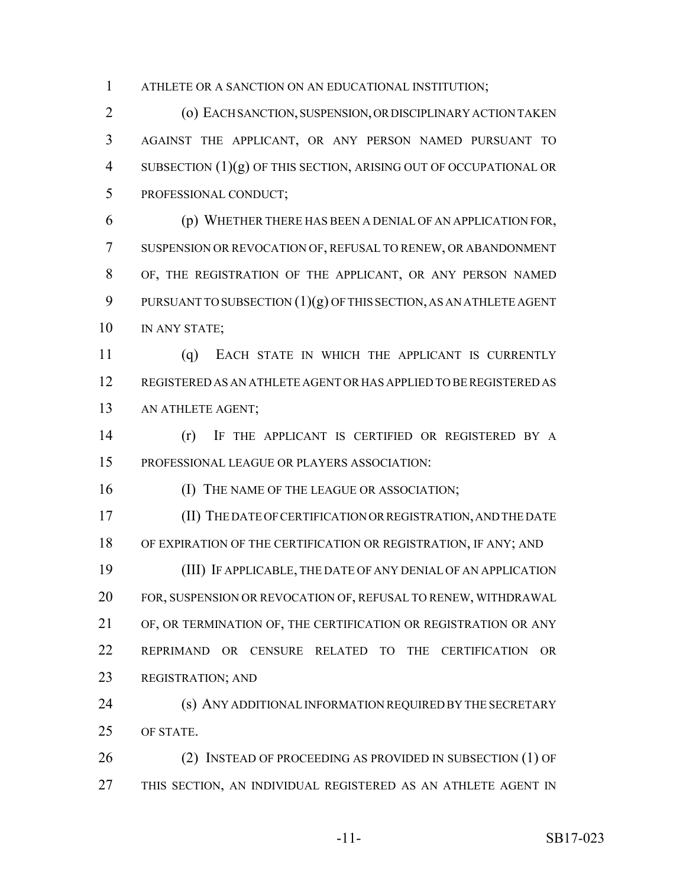ATHLETE OR A SANCTION ON AN EDUCATIONAL INSTITUTION;

 (o) EACH SANCTION, SUSPENSION, OR DISCIPLINARY ACTION TAKEN AGAINST THE APPLICANT, OR ANY PERSON NAMED PURSUANT TO SUBSECTION (1)(g) OF THIS SECTION, ARISING OUT OF OCCUPATIONAL OR PROFESSIONAL CONDUCT;

 (p) WHETHER THERE HAS BEEN A DENIAL OF AN APPLICATION FOR, SUSPENSION OR REVOCATION OF, REFUSAL TO RENEW, OR ABANDONMENT OF, THE REGISTRATION OF THE APPLICANT, OR ANY PERSON NAMED 9 PURSUANT TO SUBSECTION  $(1)(g)$  OF THIS SECTION, AS AN ATHLETE AGENT IN ANY STATE;

 (q) EACH STATE IN WHICH THE APPLICANT IS CURRENTLY REGISTERED AS AN ATHLETE AGENT OR HAS APPLIED TO BE REGISTERED AS AN ATHLETE AGENT;

 (r) IF THE APPLICANT IS CERTIFIED OR REGISTERED BY A PROFESSIONAL LEAGUE OR PLAYERS ASSOCIATION:

16 (I) THE NAME OF THE LEAGUE OR ASSOCIATION;

 (II) THE DATE OF CERTIFICATION OR REGISTRATION, AND THE DATE OF EXPIRATION OF THE CERTIFICATION OR REGISTRATION, IF ANY; AND (III) IF APPLICABLE, THE DATE OF ANY DENIAL OF AN APPLICATION

 FOR, SUSPENSION OR REVOCATION OF, REFUSAL TO RENEW, WITHDRAWAL OF, OR TERMINATION OF, THE CERTIFICATION OR REGISTRATION OR ANY REPRIMAND OR CENSURE RELATED TO THE CERTIFICATION OR REGISTRATION; AND

 (s) ANY ADDITIONAL INFORMATION REQUIRED BY THE SECRETARY OF STATE.

26 (2) INSTEAD OF PROCEEDING AS PROVIDED IN SUBSECTION (1) OF THIS SECTION, AN INDIVIDUAL REGISTERED AS AN ATHLETE AGENT IN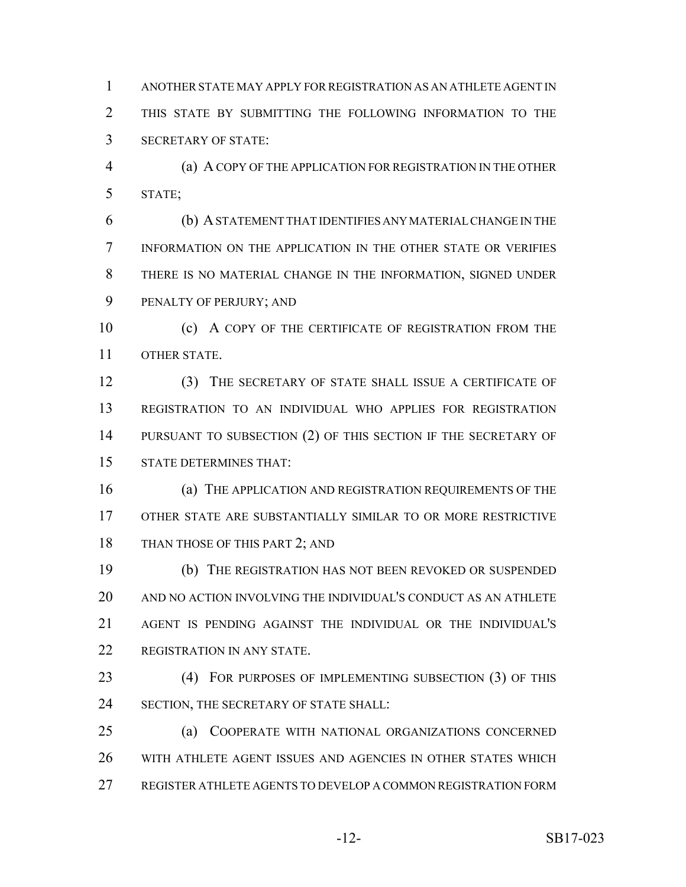ANOTHER STATE MAY APPLY FOR REGISTRATION AS AN ATHLETE AGENT IN THIS STATE BY SUBMITTING THE FOLLOWING INFORMATION TO THE SECRETARY OF STATE:

 (a) A COPY OF THE APPLICATION FOR REGISTRATION IN THE OTHER STATE;

 (b) A STATEMENT THAT IDENTIFIES ANY MATERIAL CHANGE IN THE INFORMATION ON THE APPLICATION IN THE OTHER STATE OR VERIFIES THERE IS NO MATERIAL CHANGE IN THE INFORMATION, SIGNED UNDER PENALTY OF PERJURY; AND

 (c) A COPY OF THE CERTIFICATE OF REGISTRATION FROM THE OTHER STATE.

 (3) THE SECRETARY OF STATE SHALL ISSUE A CERTIFICATE OF REGISTRATION TO AN INDIVIDUAL WHO APPLIES FOR REGISTRATION 14 PURSUANT TO SUBSECTION (2) OF THIS SECTION IF THE SECRETARY OF STATE DETERMINES THAT:

 (a) THE APPLICATION AND REGISTRATION REQUIREMENTS OF THE OTHER STATE ARE SUBSTANTIALLY SIMILAR TO OR MORE RESTRICTIVE 18 THAN THOSE OF THIS PART 2; AND

 (b) THE REGISTRATION HAS NOT BEEN REVOKED OR SUSPENDED AND NO ACTION INVOLVING THE INDIVIDUAL'S CONDUCT AS AN ATHLETE AGENT IS PENDING AGAINST THE INDIVIDUAL OR THE INDIVIDUAL'S REGISTRATION IN ANY STATE.

 (4) FOR PURPOSES OF IMPLEMENTING SUBSECTION (3) OF THIS 24 SECTION, THE SECRETARY OF STATE SHALL:

 (a) COOPERATE WITH NATIONAL ORGANIZATIONS CONCERNED WITH ATHLETE AGENT ISSUES AND AGENCIES IN OTHER STATES WHICH REGISTER ATHLETE AGENTS TO DEVELOP A COMMON REGISTRATION FORM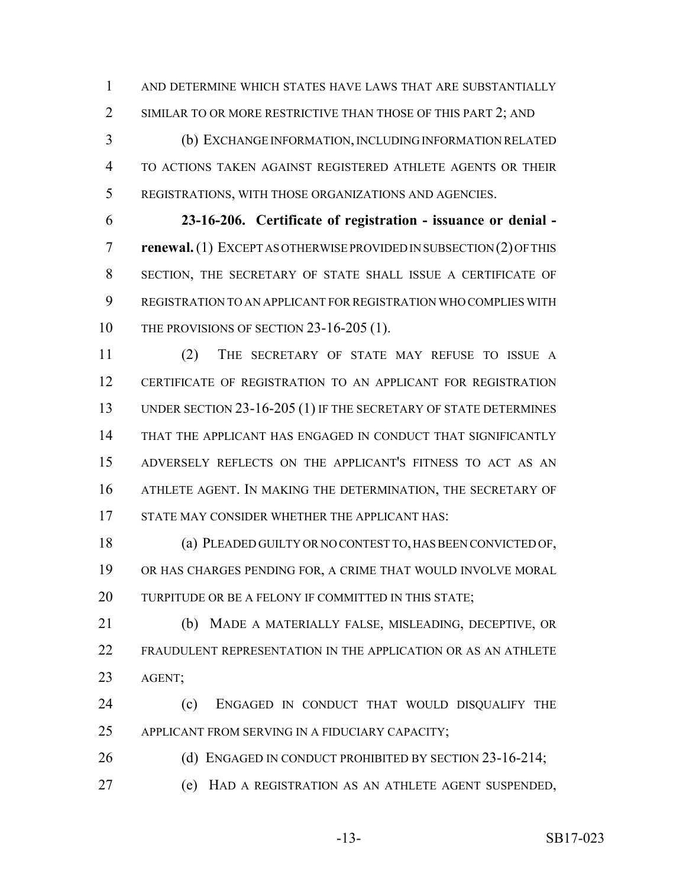AND DETERMINE WHICH STATES HAVE LAWS THAT ARE SUBSTANTIALLY 2 SIMILAR TO OR MORE RESTRICTIVE THAN THOSE OF THIS PART 2; AND

 (b) EXCHANGE INFORMATION, INCLUDING INFORMATION RELATED TO ACTIONS TAKEN AGAINST REGISTERED ATHLETE AGENTS OR THEIR REGISTRATIONS, WITH THOSE ORGANIZATIONS AND AGENCIES.

 **23-16-206. Certificate of registration - issuance or denial - renewal.** (1) EXCEPT AS OTHERWISE PROVIDED IN SUBSECTION (2) OF THIS SECTION, THE SECRETARY OF STATE SHALL ISSUE A CERTIFICATE OF REGISTRATION TO AN APPLICANT FOR REGISTRATION WHO COMPLIES WITH 10 THE PROVISIONS OF SECTION 23-16-205 (1).

 (2) THE SECRETARY OF STATE MAY REFUSE TO ISSUE A CERTIFICATE OF REGISTRATION TO AN APPLICANT FOR REGISTRATION 13 UNDER SECTION 23-16-205 (1) IF THE SECRETARY OF STATE DETERMINES THAT THE APPLICANT HAS ENGAGED IN CONDUCT THAT SIGNIFICANTLY ADVERSELY REFLECTS ON THE APPLICANT'S FITNESS TO ACT AS AN ATHLETE AGENT. IN MAKING THE DETERMINATION, THE SECRETARY OF STATE MAY CONSIDER WHETHER THE APPLICANT HAS:

 (a) PLEADED GUILTY OR NO CONTEST TO, HAS BEEN CONVICTED OF, OR HAS CHARGES PENDING FOR, A CRIME THAT WOULD INVOLVE MORAL 20 TURPITUDE OR BE A FELONY IF COMMITTED IN THIS STATE;

 (b) MADE A MATERIALLY FALSE, MISLEADING, DECEPTIVE, OR FRAUDULENT REPRESENTATION IN THE APPLICATION OR AS AN ATHLETE AGENT;

 (c) ENGAGED IN CONDUCT THAT WOULD DISQUALIFY THE APPLICANT FROM SERVING IN A FIDUCIARY CAPACITY;

26 (d) ENGAGED IN CONDUCT PROHIBITED BY SECTION 23-16-214;

(e) HAD A REGISTRATION AS AN ATHLETE AGENT SUSPENDED,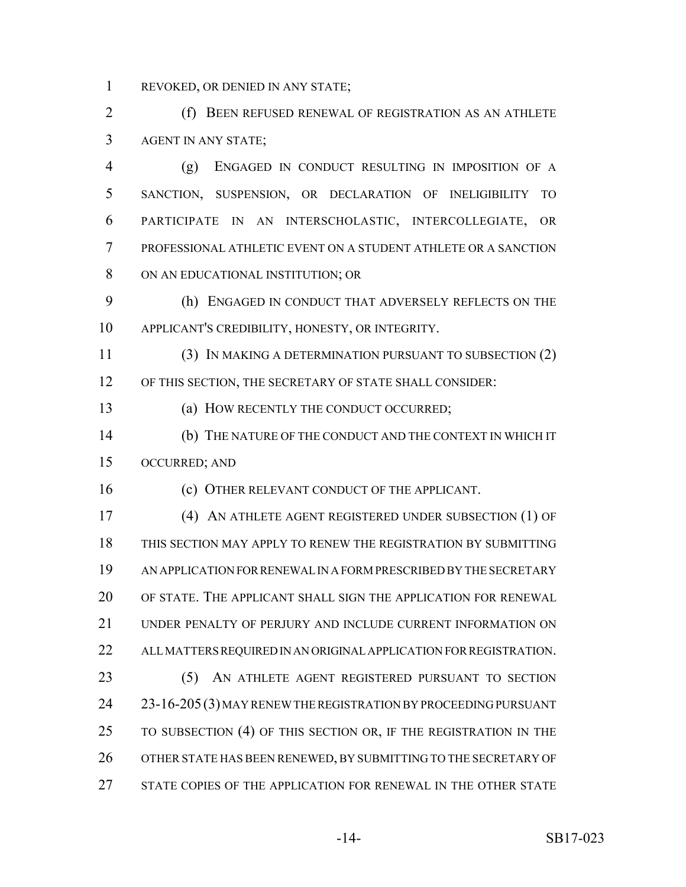REVOKED, OR DENIED IN ANY STATE;

 (f) BEEN REFUSED RENEWAL OF REGISTRATION AS AN ATHLETE AGENT IN ANY STATE;

 (g) ENGAGED IN CONDUCT RESULTING IN IMPOSITION OF A SANCTION, SUSPENSION, OR DECLARATION OF INELIGIBILITY TO PARTICIPATE IN AN INTERSCHOLASTIC, INTERCOLLEGIATE, OR PROFESSIONAL ATHLETIC EVENT ON A STUDENT ATHLETE OR A SANCTION ON AN EDUCATIONAL INSTITUTION; OR

 (h) ENGAGED IN CONDUCT THAT ADVERSELY REFLECTS ON THE APPLICANT'S CREDIBILITY, HONESTY, OR INTEGRITY.

 (3) IN MAKING A DETERMINATION PURSUANT TO SUBSECTION (2) OF THIS SECTION, THE SECRETARY OF STATE SHALL CONSIDER:

(a) HOW RECENTLY THE CONDUCT OCCURRED;

 (b) THE NATURE OF THE CONDUCT AND THE CONTEXT IN WHICH IT OCCURRED; AND

(c) OTHER RELEVANT CONDUCT OF THE APPLICANT.

 (4) AN ATHLETE AGENT REGISTERED UNDER SUBSECTION (1) OF THIS SECTION MAY APPLY TO RENEW THE REGISTRATION BY SUBMITTING AN APPLICATION FOR RENEWAL IN A FORM PRESCRIBED BY THE SECRETARY OF STATE. THE APPLICANT SHALL SIGN THE APPLICATION FOR RENEWAL UNDER PENALTY OF PERJURY AND INCLUDE CURRENT INFORMATION ON ALL MATTERS REQUIRED IN AN ORIGINAL APPLICATION FOR REGISTRATION. (5) AN ATHLETE AGENT REGISTERED PURSUANT TO SECTION 23-16-205(3) MAY RENEW THE REGISTRATION BY PROCEEDING PURSUANT TO SUBSECTION (4) OF THIS SECTION OR, IF THE REGISTRATION IN THE OTHER STATE HAS BEEN RENEWED, BY SUBMITTING TO THE SECRETARY OF STATE COPIES OF THE APPLICATION FOR RENEWAL IN THE OTHER STATE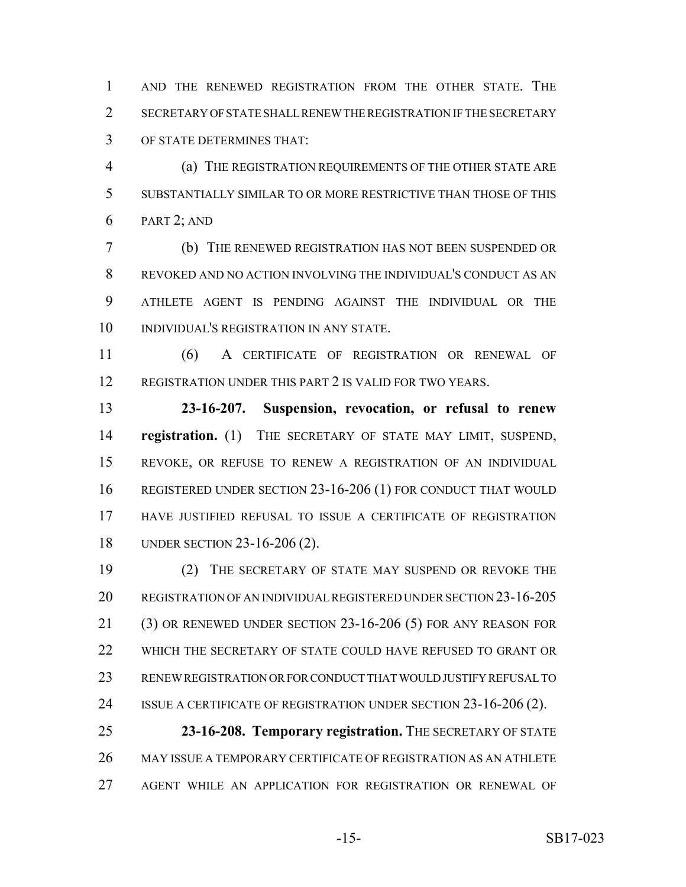AND THE RENEWED REGISTRATION FROM THE OTHER STATE. THE SECRETARY OF STATE SHALL RENEW THE REGISTRATION IF THE SECRETARY OF STATE DETERMINES THAT:

 (a) THE REGISTRATION REQUIREMENTS OF THE OTHER STATE ARE SUBSTANTIALLY SIMILAR TO OR MORE RESTRICTIVE THAN THOSE OF THIS PART 2; AND

 (b) THE RENEWED REGISTRATION HAS NOT BEEN SUSPENDED OR REVOKED AND NO ACTION INVOLVING THE INDIVIDUAL'S CONDUCT AS AN ATHLETE AGENT IS PENDING AGAINST THE INDIVIDUAL OR THE INDIVIDUAL'S REGISTRATION IN ANY STATE.

 (6) A CERTIFICATE OF REGISTRATION OR RENEWAL OF REGISTRATION UNDER THIS PART 2 IS VALID FOR TWO YEARS.

 **23-16-207. Suspension, revocation, or refusal to renew registration.** (1) THE SECRETARY OF STATE MAY LIMIT, SUSPEND, REVOKE, OR REFUSE TO RENEW A REGISTRATION OF AN INDIVIDUAL REGISTERED UNDER SECTION 23-16-206 (1) FOR CONDUCT THAT WOULD HAVE JUSTIFIED REFUSAL TO ISSUE A CERTIFICATE OF REGISTRATION UNDER SECTION 23-16-206 (2).

 (2) THE SECRETARY OF STATE MAY SUSPEND OR REVOKE THE REGISTRATION OF AN INDIVIDUAL REGISTERED UNDER SECTION 23-16-205 (3) OR RENEWED UNDER SECTION 23-16-206 (5) FOR ANY REASON FOR WHICH THE SECRETARY OF STATE COULD HAVE REFUSED TO GRANT OR RENEW REGISTRATION OR FOR CONDUCT THAT WOULD JUSTIFY REFUSAL TO 24 ISSUE A CERTIFICATE OF REGISTRATION UNDER SECTION 23-16-206 (2).

 **23-16-208. Temporary registration.** THE SECRETARY OF STATE MAY ISSUE A TEMPORARY CERTIFICATE OF REGISTRATION AS AN ATHLETE AGENT WHILE AN APPLICATION FOR REGISTRATION OR RENEWAL OF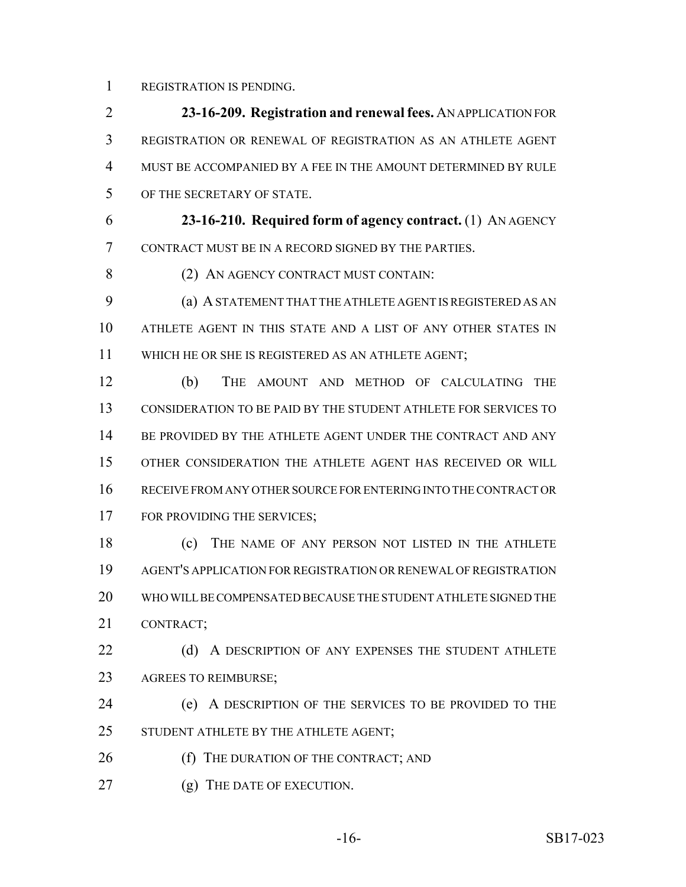REGISTRATION IS PENDING.

 **23-16-209. Registration and renewal fees.** AN APPLICATION FOR REGISTRATION OR RENEWAL OF REGISTRATION AS AN ATHLETE AGENT MUST BE ACCOMPANIED BY A FEE IN THE AMOUNT DETERMINED BY RULE OF THE SECRETARY OF STATE.

 **23-16-210. Required form of agency contract.** (1) AN AGENCY CONTRACT MUST BE IN A RECORD SIGNED BY THE PARTIES.

8 (2) AN AGENCY CONTRACT MUST CONTAIN:

 (a) A STATEMENT THAT THE ATHLETE AGENT IS REGISTERED AS AN ATHLETE AGENT IN THIS STATE AND A LIST OF ANY OTHER STATES IN WHICH HE OR SHE IS REGISTERED AS AN ATHLETE AGENT;

 (b) THE AMOUNT AND METHOD OF CALCULATING THE CONSIDERATION TO BE PAID BY THE STUDENT ATHLETE FOR SERVICES TO 14 BE PROVIDED BY THE ATHLETE AGENT UNDER THE CONTRACT AND ANY OTHER CONSIDERATION THE ATHLETE AGENT HAS RECEIVED OR WILL RECEIVE FROM ANY OTHER SOURCE FOR ENTERING INTO THE CONTRACT OR 17 FOR PROVIDING THE SERVICES;

 (c) THE NAME OF ANY PERSON NOT LISTED IN THE ATHLETE AGENT'S APPLICATION FOR REGISTRATION OR RENEWAL OF REGISTRATION WHO WILL BE COMPENSATED BECAUSE THE STUDENT ATHLETE SIGNED THE CONTRACT;

22 (d) A DESCRIPTION OF ANY EXPENSES THE STUDENT ATHLETE AGREES TO REIMBURSE;

 (e) A DESCRIPTION OF THE SERVICES TO BE PROVIDED TO THE STUDENT ATHLETE BY THE ATHLETE AGENT;

- 26 (f) THE DURATION OF THE CONTRACT; AND
- 27 (g) THE DATE OF EXECUTION.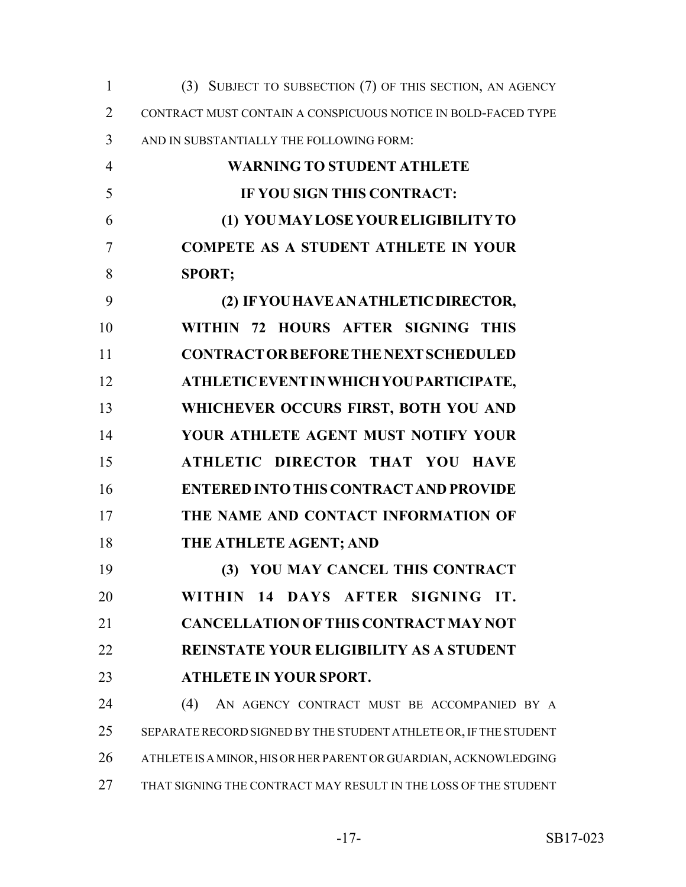| $\mathbf{1}$   | (3) SUBJECT TO SUBSECTION (7) OF THIS SECTION, AN AGENCY         |
|----------------|------------------------------------------------------------------|
| $\overline{2}$ | CONTRACT MUST CONTAIN A CONSPICUOUS NOTICE IN BOLD-FACED TYPE    |
| 3              | AND IN SUBSTANTIALLY THE FOLLOWING FORM:                         |
| $\overline{4}$ | <b>WARNING TO STUDENT ATHLETE</b>                                |
| 5              | IF YOU SIGN THIS CONTRACT:                                       |
| 6              | (1) YOU MAY LOSE YOUR ELIGIBILITY TO                             |
| 7              | <b>COMPETE AS A STUDENT ATHLETE IN YOUR</b>                      |
| 8              | <b>SPORT;</b>                                                    |
| 9              | (2) IF YOU HAVE AN ATHLETIC DIRECTOR,                            |
| 10             | WITHIN 72 HOURS AFTER SIGNING THIS                               |
| 11             | <b>CONTRACT OR BEFORE THE NEXT SCHEDULED</b>                     |
| 12             | ATHLETIC EVENT IN WHICH YOU PARTICIPATE,                         |
| 13             | WHICHEVER OCCURS FIRST, BOTH YOU AND                             |
| 14             | YOUR ATHLETE AGENT MUST NOTIFY YOUR                              |
| 15             | ATHLETIC DIRECTOR THAT YOU HAVE                                  |
| 16             | <b>ENTERED INTO THIS CONTRACT AND PROVIDE</b>                    |
| 17             | THE NAME AND CONTACT INFORMATION OF                              |
| 18             | THE ATHLETE AGENT; AND                                           |
| 19             | (3) YOU MAY CANCEL THIS CONTRACT                                 |
| 20             | WITHIN 14 DAYS AFTER SIGNING IT.                                 |
| 21             | <b>CANCELLATION OF THIS CONTRACT MAY NOT</b>                     |
| 22             | <b>REINSTATE YOUR ELIGIBILITY AS A STUDENT</b>                   |
| 23             | <b>ATHLETE IN YOUR SPORT.</b>                                    |
| 24             | (4)<br>AN AGENCY CONTRACT MUST BE ACCOMPANIED BY A               |
| 25             | SEPARATE RECORD SIGNED BY THE STUDENT ATHLETE OR, IF THE STUDENT |
| 26             | ATHLETE IS A MINOR, HIS OR HER PARENT OR GUARDIAN, ACKNOWLEDGING |
| 27             | THAT SIGNING THE CONTRACT MAY RESULT IN THE LOSS OF THE STUDENT  |
|                |                                                                  |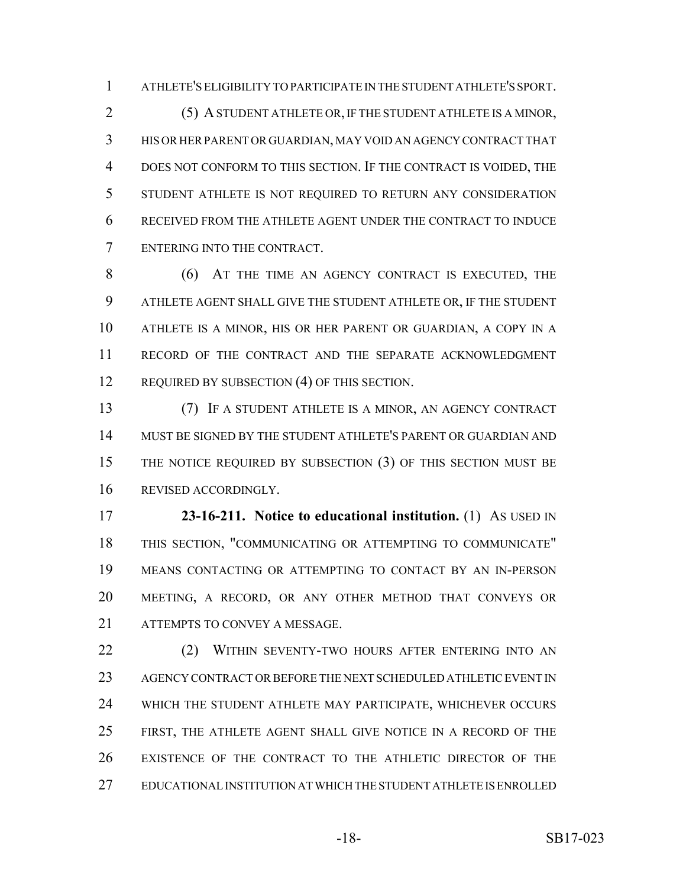ATHLETE'S ELIGIBILITY TO PARTICIPATE IN THE STUDENT ATHLETE'S SPORT.

 (5) A STUDENT ATHLETE OR, IF THE STUDENT ATHLETE IS A MINOR, HIS OR HER PARENT OR GUARDIAN, MAY VOID AN AGENCY CONTRACT THAT DOES NOT CONFORM TO THIS SECTION. IF THE CONTRACT IS VOIDED, THE STUDENT ATHLETE IS NOT REQUIRED TO RETURN ANY CONSIDERATION RECEIVED FROM THE ATHLETE AGENT UNDER THE CONTRACT TO INDUCE ENTERING INTO THE CONTRACT.

 (6) AT THE TIME AN AGENCY CONTRACT IS EXECUTED, THE ATHLETE AGENT SHALL GIVE THE STUDENT ATHLETE OR, IF THE STUDENT ATHLETE IS A MINOR, HIS OR HER PARENT OR GUARDIAN, A COPY IN A RECORD OF THE CONTRACT AND THE SEPARATE ACKNOWLEDGMENT 12 REQUIRED BY SUBSECTION (4) OF THIS SECTION.

 (7) IF A STUDENT ATHLETE IS A MINOR, AN AGENCY CONTRACT MUST BE SIGNED BY THE STUDENT ATHLETE'S PARENT OR GUARDIAN AND THE NOTICE REQUIRED BY SUBSECTION (3) OF THIS SECTION MUST BE REVISED ACCORDINGLY.

 **23-16-211. Notice to educational institution.** (1) AS USED IN THIS SECTION, "COMMUNICATING OR ATTEMPTING TO COMMUNICATE" MEANS CONTACTING OR ATTEMPTING TO CONTACT BY AN IN-PERSON MEETING, A RECORD, OR ANY OTHER METHOD THAT CONVEYS OR ATTEMPTS TO CONVEY A MESSAGE.

22 (2) WITHIN SEVENTY-TWO HOURS AFTER ENTERING INTO AN AGENCY CONTRACT OR BEFORE THE NEXT SCHEDULED ATHLETIC EVENT IN WHICH THE STUDENT ATHLETE MAY PARTICIPATE, WHICHEVER OCCURS FIRST, THE ATHLETE AGENT SHALL GIVE NOTICE IN A RECORD OF THE EXISTENCE OF THE CONTRACT TO THE ATHLETIC DIRECTOR OF THE EDUCATIONAL INSTITUTION AT WHICH THE STUDENT ATHLETE IS ENROLLED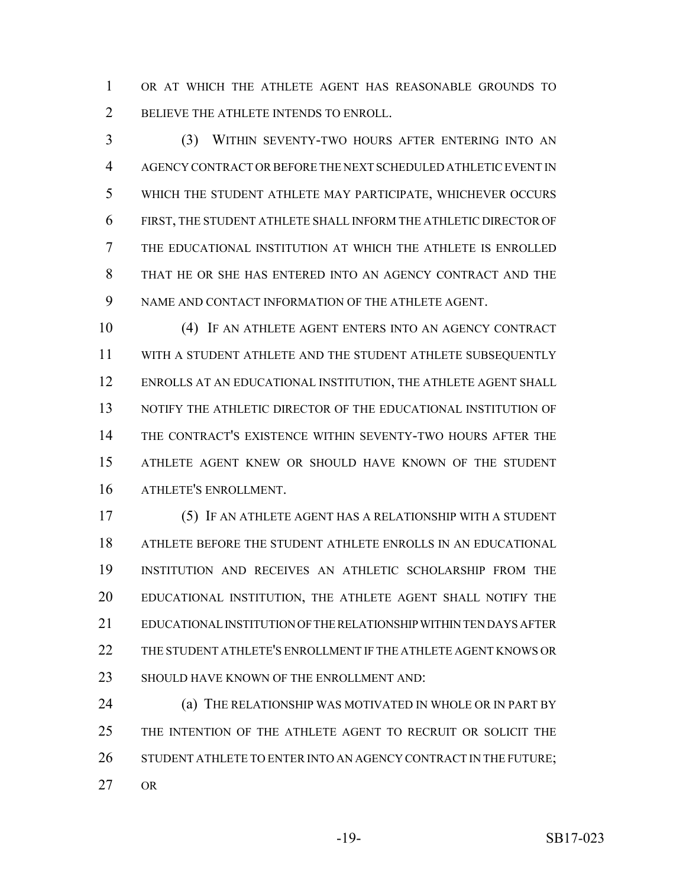OR AT WHICH THE ATHLETE AGENT HAS REASONABLE GROUNDS TO BELIEVE THE ATHLETE INTENDS TO ENROLL.

 (3) WITHIN SEVENTY-TWO HOURS AFTER ENTERING INTO AN AGENCY CONTRACT OR BEFORE THE NEXT SCHEDULED ATHLETIC EVENT IN WHICH THE STUDENT ATHLETE MAY PARTICIPATE, WHICHEVER OCCURS FIRST, THE STUDENT ATHLETE SHALL INFORM THE ATHLETIC DIRECTOR OF THE EDUCATIONAL INSTITUTION AT WHICH THE ATHLETE IS ENROLLED THAT HE OR SHE HAS ENTERED INTO AN AGENCY CONTRACT AND THE NAME AND CONTACT INFORMATION OF THE ATHLETE AGENT.

 (4) IF AN ATHLETE AGENT ENTERS INTO AN AGENCY CONTRACT WITH A STUDENT ATHLETE AND THE STUDENT ATHLETE SUBSEQUENTLY ENROLLS AT AN EDUCATIONAL INSTITUTION, THE ATHLETE AGENT SHALL NOTIFY THE ATHLETIC DIRECTOR OF THE EDUCATIONAL INSTITUTION OF THE CONTRACT'S EXISTENCE WITHIN SEVENTY-TWO HOURS AFTER THE ATHLETE AGENT KNEW OR SHOULD HAVE KNOWN OF THE STUDENT ATHLETE'S ENROLLMENT.

 (5) IF AN ATHLETE AGENT HAS A RELATIONSHIP WITH A STUDENT ATHLETE BEFORE THE STUDENT ATHLETE ENROLLS IN AN EDUCATIONAL INSTITUTION AND RECEIVES AN ATHLETIC SCHOLARSHIP FROM THE EDUCATIONAL INSTITUTION, THE ATHLETE AGENT SHALL NOTIFY THE EDUCATIONAL INSTITUTION OF THE RELATIONSHIP WITHIN TEN DAYS AFTER THE STUDENT ATHLETE'S ENROLLMENT IF THE ATHLETE AGENT KNOWS OR 23 SHOULD HAVE KNOWN OF THE ENROLLMENT AND:

**(a) THE RELATIONSHIP WAS MOTIVATED IN WHOLE OR IN PART BY**  THE INTENTION OF THE ATHLETE AGENT TO RECRUIT OR SOLICIT THE 26 STUDENT ATHLETE TO ENTER INTO AN AGENCY CONTRACT IN THE FUTURE; OR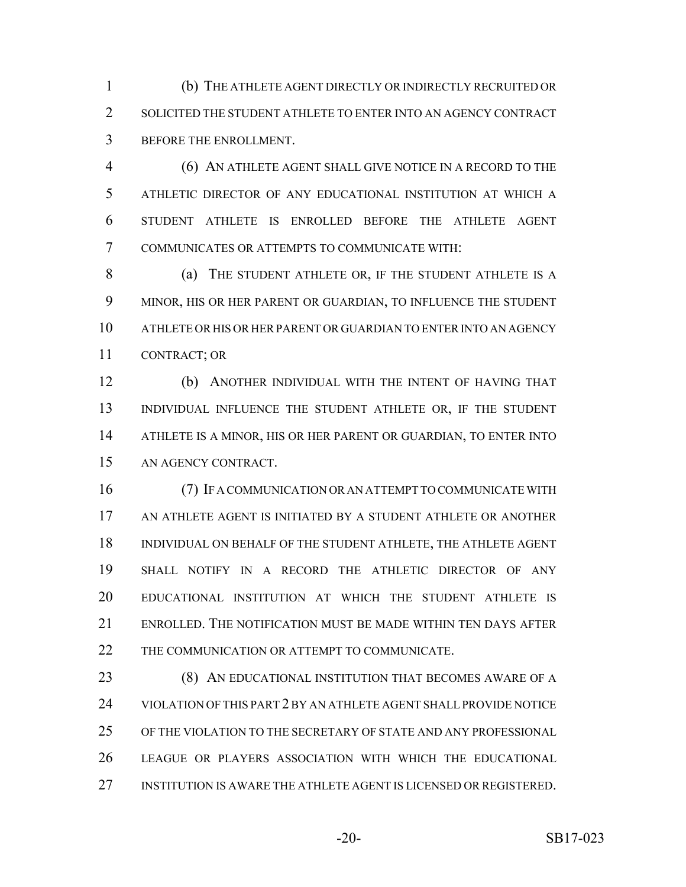(b) THE ATHLETE AGENT DIRECTLY OR INDIRECTLY RECRUITED OR 2 SOLICITED THE STUDENT ATHLETE TO ENTER INTO AN AGENCY CONTRACT BEFORE THE ENROLLMENT.

 (6) AN ATHLETE AGENT SHALL GIVE NOTICE IN A RECORD TO THE ATHLETIC DIRECTOR OF ANY EDUCATIONAL INSTITUTION AT WHICH A STUDENT ATHLETE IS ENROLLED BEFORE THE ATHLETE AGENT COMMUNICATES OR ATTEMPTS TO COMMUNICATE WITH:

8 (a) THE STUDENT ATHLETE OR, IF THE STUDENT ATHLETE IS A MINOR, HIS OR HER PARENT OR GUARDIAN, TO INFLUENCE THE STUDENT ATHLETE OR HIS OR HER PARENT OR GUARDIAN TO ENTER INTO AN AGENCY CONTRACT; OR

 (b) ANOTHER INDIVIDUAL WITH THE INTENT OF HAVING THAT INDIVIDUAL INFLUENCE THE STUDENT ATHLETE OR, IF THE STUDENT ATHLETE IS A MINOR, HIS OR HER PARENT OR GUARDIAN, TO ENTER INTO AN AGENCY CONTRACT.

 (7) IF A COMMUNICATION OR AN ATTEMPT TO COMMUNICATE WITH AN ATHLETE AGENT IS INITIATED BY A STUDENT ATHLETE OR ANOTHER INDIVIDUAL ON BEHALF OF THE STUDENT ATHLETE, THE ATHLETE AGENT SHALL NOTIFY IN A RECORD THE ATHLETIC DIRECTOR OF ANY EDUCATIONAL INSTITUTION AT WHICH THE STUDENT ATHLETE IS ENROLLED. THE NOTIFICATION MUST BE MADE WITHIN TEN DAYS AFTER THE COMMUNICATION OR ATTEMPT TO COMMUNICATE.

**(8) AN EDUCATIONAL INSTITUTION THAT BECOMES AWARE OF A**  VIOLATION OF THIS PART 2 BY AN ATHLETE AGENT SHALL PROVIDE NOTICE OF THE VIOLATION TO THE SECRETARY OF STATE AND ANY PROFESSIONAL LEAGUE OR PLAYERS ASSOCIATION WITH WHICH THE EDUCATIONAL INSTITUTION IS AWARE THE ATHLETE AGENT IS LICENSED OR REGISTERED.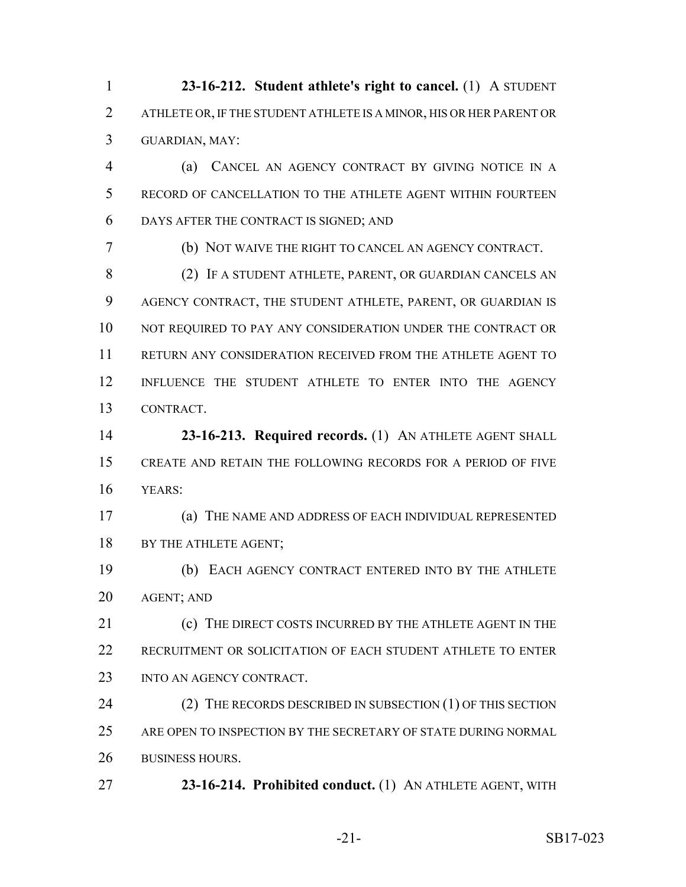**23-16-212. Student athlete's right to cancel.** (1) A STUDENT ATHLETE OR, IF THE STUDENT ATHLETE IS A MINOR, HIS OR HER PARENT OR GUARDIAN, MAY:

 (a) CANCEL AN AGENCY CONTRACT BY GIVING NOTICE IN A RECORD OF CANCELLATION TO THE ATHLETE AGENT WITHIN FOURTEEN DAYS AFTER THE CONTRACT IS SIGNED; AND

(b) NOT WAIVE THE RIGHT TO CANCEL AN AGENCY CONTRACT.

 (2) IF A STUDENT ATHLETE, PARENT, OR GUARDIAN CANCELS AN AGENCY CONTRACT, THE STUDENT ATHLETE, PARENT, OR GUARDIAN IS 10 NOT REQUIRED TO PAY ANY CONSIDERATION UNDER THE CONTRACT OR RETURN ANY CONSIDERATION RECEIVED FROM THE ATHLETE AGENT TO INFLUENCE THE STUDENT ATHLETE TO ENTER INTO THE AGENCY CONTRACT.

 **23-16-213. Required records.** (1) AN ATHLETE AGENT SHALL CREATE AND RETAIN THE FOLLOWING RECORDS FOR A PERIOD OF FIVE YEARS:

 (a) THE NAME AND ADDRESS OF EACH INDIVIDUAL REPRESENTED 18 BY THE ATHLETE AGENT;

 (b) EACH AGENCY CONTRACT ENTERED INTO BY THE ATHLETE AGENT; AND

**(c)** THE DIRECT COSTS INCURRED BY THE ATHLETE AGENT IN THE RECRUITMENT OR SOLICITATION OF EACH STUDENT ATHLETE TO ENTER 23 INTO AN AGENCY CONTRACT.

24 (2) THE RECORDS DESCRIBED IN SUBSECTION (1) OF THIS SECTION ARE OPEN TO INSPECTION BY THE SECRETARY OF STATE DURING NORMAL BUSINESS HOURS.

**23-16-214. Prohibited conduct.** (1) AN ATHLETE AGENT, WITH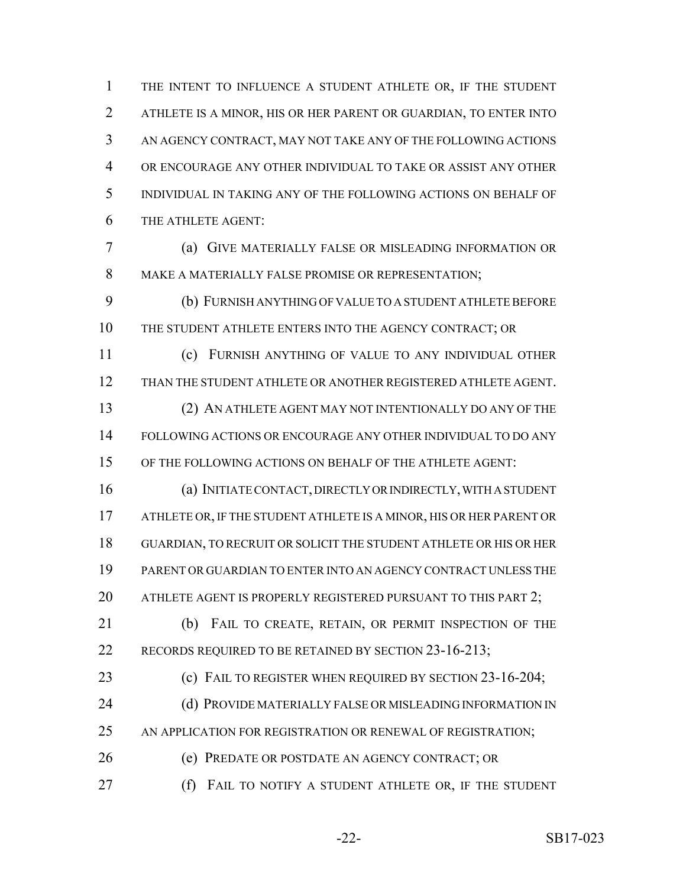THE INTENT TO INFLUENCE A STUDENT ATHLETE OR, IF THE STUDENT ATHLETE IS A MINOR, HIS OR HER PARENT OR GUARDIAN, TO ENTER INTO AN AGENCY CONTRACT, MAY NOT TAKE ANY OF THE FOLLOWING ACTIONS OR ENCOURAGE ANY OTHER INDIVIDUAL TO TAKE OR ASSIST ANY OTHER INDIVIDUAL IN TAKING ANY OF THE FOLLOWING ACTIONS ON BEHALF OF THE ATHLETE AGENT:

 (a) GIVE MATERIALLY FALSE OR MISLEADING INFORMATION OR MAKE A MATERIALLY FALSE PROMISE OR REPRESENTATION;

 (b) FURNISH ANYTHING OF VALUE TO A STUDENT ATHLETE BEFORE THE STUDENT ATHLETE ENTERS INTO THE AGENCY CONTRACT; OR

 (c) FURNISH ANYTHING OF VALUE TO ANY INDIVIDUAL OTHER THAN THE STUDENT ATHLETE OR ANOTHER REGISTERED ATHLETE AGENT. (2) AN ATHLETE AGENT MAY NOT INTENTIONALLY DO ANY OF THE FOLLOWING ACTIONS OR ENCOURAGE ANY OTHER INDIVIDUAL TO DO ANY OF THE FOLLOWING ACTIONS ON BEHALF OF THE ATHLETE AGENT:

 (a) INITIATE CONTACT, DIRECTLY OR INDIRECTLY, WITH A STUDENT ATHLETE OR, IF THE STUDENT ATHLETE IS A MINOR, HIS OR HER PARENT OR GUARDIAN, TO RECRUIT OR SOLICIT THE STUDENT ATHLETE OR HIS OR HER PARENT OR GUARDIAN TO ENTER INTO AN AGENCY CONTRACT UNLESS THE 20 ATHLETE AGENT IS PROPERLY REGISTERED PURSUANT TO THIS PART 2;

21 (b) FAIL TO CREATE, RETAIN, OR PERMIT INSPECTION OF THE 22 RECORDS REQUIRED TO BE RETAINED BY SECTION 23-16-213;

(c) FAIL TO REGISTER WHEN REQUIRED BY SECTION 23-16-204;

24 (d) PROVIDE MATERIALLY FALSE OR MISLEADING INFORMATION IN

25 AN APPLICATION FOR REGISTRATION OR RENEWAL OF REGISTRATION;

(e) PREDATE OR POSTDATE AN AGENCY CONTRACT; OR

(f) FAIL TO NOTIFY A STUDENT ATHLETE OR, IF THE STUDENT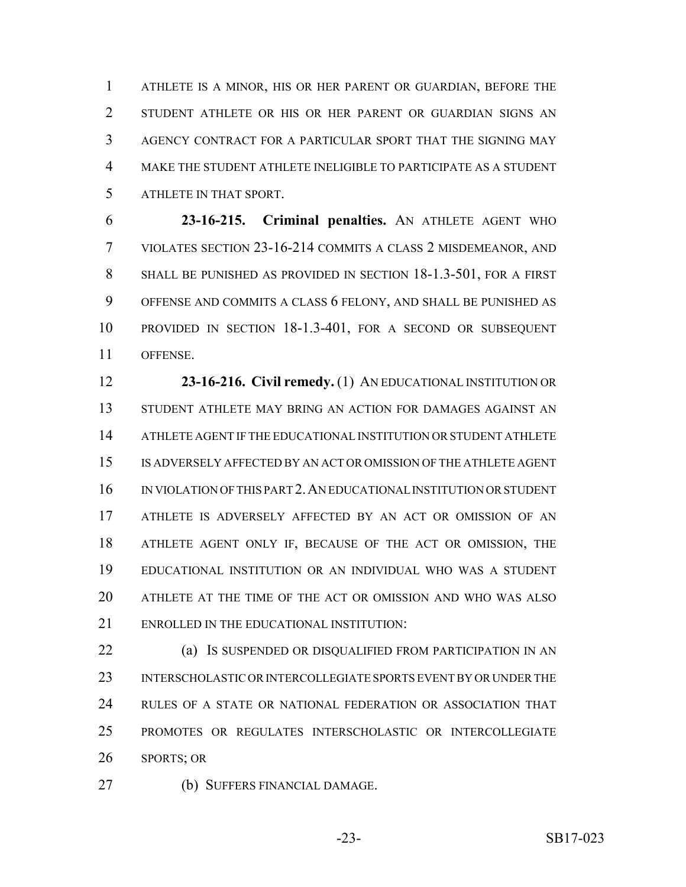ATHLETE IS A MINOR, HIS OR HER PARENT OR GUARDIAN, BEFORE THE STUDENT ATHLETE OR HIS OR HER PARENT OR GUARDIAN SIGNS AN AGENCY CONTRACT FOR A PARTICULAR SPORT THAT THE SIGNING MAY MAKE THE STUDENT ATHLETE INELIGIBLE TO PARTICIPATE AS A STUDENT ATHLETE IN THAT SPORT.

 **23-16-215. Criminal penalties.** AN ATHLETE AGENT WHO VIOLATES SECTION 23-16-214 COMMITS A CLASS 2 MISDEMEANOR, AND SHALL BE PUNISHED AS PROVIDED IN SECTION 18-1.3-501, FOR A FIRST OFFENSE AND COMMITS A CLASS 6 FELONY, AND SHALL BE PUNISHED AS PROVIDED IN SECTION 18-1.3-401, FOR A SECOND OR SUBSEQUENT OFFENSE.

 **23-16-216. Civil remedy.** (1) AN EDUCATIONAL INSTITUTION OR STUDENT ATHLETE MAY BRING AN ACTION FOR DAMAGES AGAINST AN ATHLETE AGENT IF THE EDUCATIONAL INSTITUTION OR STUDENT ATHLETE IS ADVERSELY AFFECTED BY AN ACT OR OMISSION OF THE ATHLETE AGENT IN VIOLATION OF THIS PART 2.AN EDUCATIONAL INSTITUTION OR STUDENT ATHLETE IS ADVERSELY AFFECTED BY AN ACT OR OMISSION OF AN ATHLETE AGENT ONLY IF, BECAUSE OF THE ACT OR OMISSION, THE EDUCATIONAL INSTITUTION OR AN INDIVIDUAL WHO WAS A STUDENT ATHLETE AT THE TIME OF THE ACT OR OMISSION AND WHO WAS ALSO ENROLLED IN THE EDUCATIONAL INSTITUTION:

 (a) IS SUSPENDED OR DISQUALIFIED FROM PARTICIPATION IN AN INTERSCHOLASTIC OR INTERCOLLEGIATE SPORTS EVENT BY OR UNDER THE RULES OF A STATE OR NATIONAL FEDERATION OR ASSOCIATION THAT PROMOTES OR REGULATES INTERSCHOLASTIC OR INTERCOLLEGIATE SPORTS; OR

(b) SUFFERS FINANCIAL DAMAGE.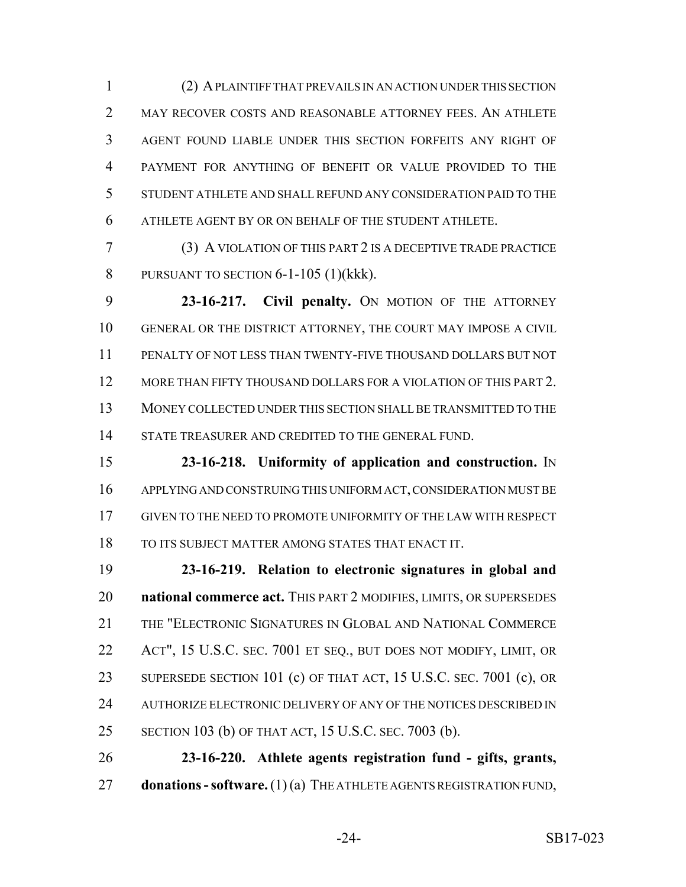(2) A PLAINTIFF THAT PREVAILS IN AN ACTION UNDER THIS SECTION 2 MAY RECOVER COSTS AND REASONABLE ATTORNEY FEES. AN ATHLETE AGENT FOUND LIABLE UNDER THIS SECTION FORFEITS ANY RIGHT OF PAYMENT FOR ANYTHING OF BENEFIT OR VALUE PROVIDED TO THE STUDENT ATHLETE AND SHALL REFUND ANY CONSIDERATION PAID TO THE ATHLETE AGENT BY OR ON BEHALF OF THE STUDENT ATHLETE.

 (3) A VIOLATION OF THIS PART 2 IS A DECEPTIVE TRADE PRACTICE PURSUANT TO SECTION 6-1-105 (1)(kkk).

 **23-16-217. Civil penalty.** ON MOTION OF THE ATTORNEY GENERAL OR THE DISTRICT ATTORNEY, THE COURT MAY IMPOSE A CIVIL PENALTY OF NOT LESS THAN TWENTY-FIVE THOUSAND DOLLARS BUT NOT MORE THAN FIFTY THOUSAND DOLLARS FOR A VIOLATION OF THIS PART 2. MONEY COLLECTED UNDER THIS SECTION SHALL BE TRANSMITTED TO THE 14 STATE TREASURER AND CREDITED TO THE GENERAL FUND.

 **23-16-218. Uniformity of application and construction.** IN APPLYING AND CONSTRUING THIS UNIFORM ACT, CONSIDERATION MUST BE GIVEN TO THE NEED TO PROMOTE UNIFORMITY OF THE LAW WITH RESPECT TO ITS SUBJECT MATTER AMONG STATES THAT ENACT IT.

 **23-16-219. Relation to electronic signatures in global and national commerce act.** THIS PART 2 MODIFIES, LIMITS, OR SUPERSEDES THE "ELECTRONIC SIGNATURES IN GLOBAL AND NATIONAL COMMERCE ACT", 15 U.S.C. SEC. 7001 ET SEQ., BUT DOES NOT MODIFY, LIMIT, OR SUPERSEDE SECTION 101 (c) OF THAT ACT, 15 U.S.C. SEC. 7001 (c), OR AUTHORIZE ELECTRONIC DELIVERY OF ANY OF THE NOTICES DESCRIBED IN SECTION 103 (b) OF THAT ACT, 15 U.S.C. SEC. 7003 (b).

 **23-16-220. Athlete agents registration fund - gifts, grants, donations - software.** (1) (a) THE ATHLETE AGENTS REGISTRATION FUND,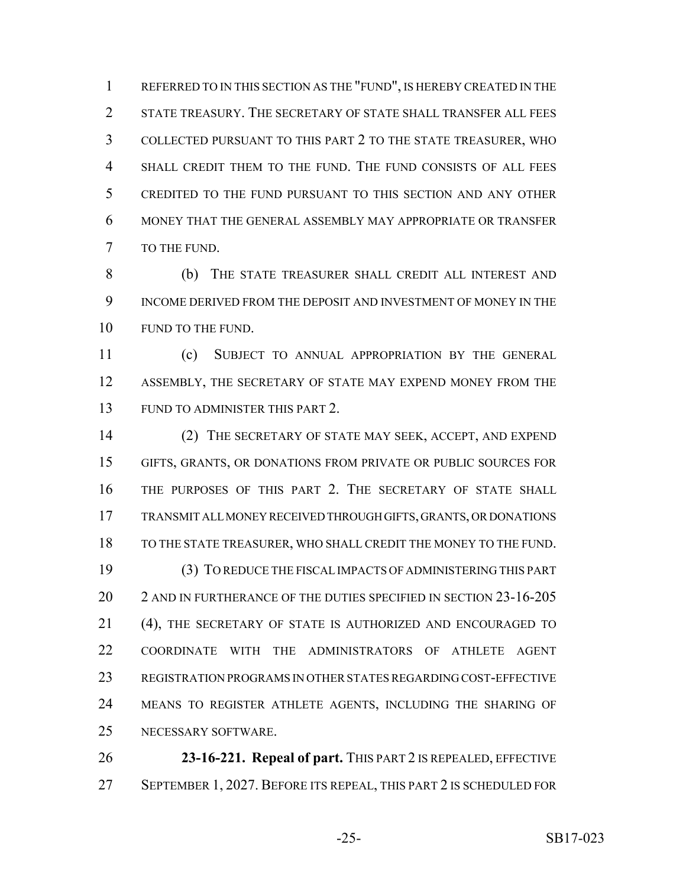REFERRED TO IN THIS SECTION AS THE "FUND", IS HEREBY CREATED IN THE 2 STATE TREASURY. THE SECRETARY OF STATE SHALL TRANSFER ALL FEES COLLECTED PURSUANT TO THIS PART 2 TO THE STATE TREASURER, WHO SHALL CREDIT THEM TO THE FUND. THE FUND CONSISTS OF ALL FEES CREDITED TO THE FUND PURSUANT TO THIS SECTION AND ANY OTHER MONEY THAT THE GENERAL ASSEMBLY MAY APPROPRIATE OR TRANSFER TO THE FUND.

 (b) THE STATE TREASURER SHALL CREDIT ALL INTEREST AND INCOME DERIVED FROM THE DEPOSIT AND INVESTMENT OF MONEY IN THE 10 FUND TO THE FUND.

 (c) SUBJECT TO ANNUAL APPROPRIATION BY THE GENERAL 12 ASSEMBLY, THE SECRETARY OF STATE MAY EXPEND MONEY FROM THE FUND TO ADMINISTER THIS PART 2.

 (2) THE SECRETARY OF STATE MAY SEEK, ACCEPT, AND EXPEND GIFTS, GRANTS, OR DONATIONS FROM PRIVATE OR PUBLIC SOURCES FOR THE PURPOSES OF THIS PART 2. THE SECRETARY OF STATE SHALL TRANSMIT ALL MONEY RECEIVED THROUGH GIFTS, GRANTS, OR DONATIONS TO THE STATE TREASURER, WHO SHALL CREDIT THE MONEY TO THE FUND. (3) TO REDUCE THE FISCAL IMPACTS OF ADMINISTERING THIS PART 20 2 AND IN FURTHERANCE OF THE DUTIES SPECIFIED IN SECTION 23-16-205 (4), THE SECRETARY OF STATE IS AUTHORIZED AND ENCOURAGED TO COORDINATE WITH THE ADMINISTRATORS OF ATHLETE AGENT REGISTRATION PROGRAMS IN OTHER STATES REGARDING COST-EFFECTIVE MEANS TO REGISTER ATHLETE AGENTS, INCLUDING THE SHARING OF NECESSARY SOFTWARE.

 **23-16-221. Repeal of part.** THIS PART 2 IS REPEALED, EFFECTIVE SEPTEMBER 1, 2027. BEFORE ITS REPEAL, THIS PART 2 IS SCHEDULED FOR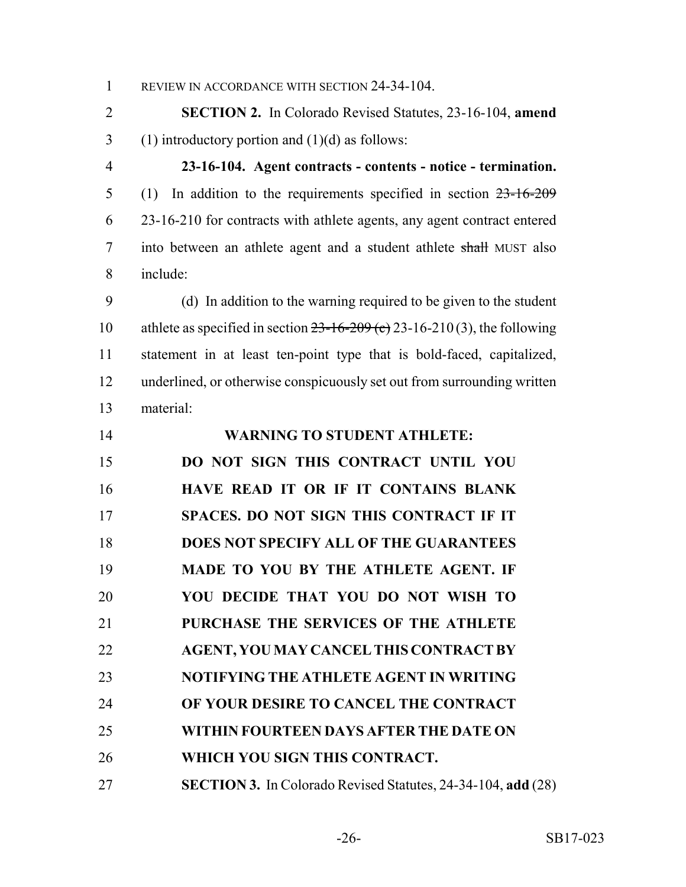1 REVIEW IN ACCORDANCE WITH SECTION 24-34-104.

 **SECTION 2.** In Colorado Revised Statutes, 23-16-104, **amend** 3 (1) introductory portion and  $(1)(d)$  as follows:

 **23-16-104. Agent contracts - contents - notice - termination.** (1) In addition to the requirements specified in section 23-16-209 23-16-210 for contracts with athlete agents, any agent contract entered 7 into between an athlete agent and a student athlete shall MUST also include:

 (d) In addition to the warning required to be given to the student 10 athlete as specified in section  $23-16-209$  (c) 23-16-210(3), the following statement in at least ten-point type that is bold-faced, capitalized, underlined, or otherwise conspicuously set out from surrounding written material:

| 14 | <b>WARNING TO STUDENT ATHLETE:</b>                                  |
|----|---------------------------------------------------------------------|
| 15 | DO NOT SIGN THIS CONTRACT UNTIL YOU                                 |
| 16 | HAVE READ IT OR IF IT CONTAINS BLANK                                |
| 17 | <b>SPACES. DO NOT SIGN THIS CONTRACT IF IT</b>                      |
| 18 | <b>DOES NOT SPECIFY ALL OF THE GUARANTEES</b>                       |
| 19 | MADE TO YOU BY THE ATHLETE AGENT. IF                                |
| 20 | YOU DECIDE THAT YOU DO NOT WISH TO                                  |
| 21 | PURCHASE THE SERVICES OF THE ATHLETE                                |
| 22 | <b>AGENT, YOU MAY CANCEL THIS CONTRACT BY</b>                       |
| 23 | NOTIFYING THE ATHLETE AGENT IN WRITING                              |
| 24 | OF YOUR DESIRE TO CANCEL THE CONTRACT                               |
| 25 | WITHIN FOURTEEN DAYS AFTER THE DATE ON                              |
| 26 | WHICH YOU SIGN THIS CONTRACT.                                       |
| 27 | <b>SECTION 3.</b> In Colorado Revised Statutes, 24-34-104, add (28) |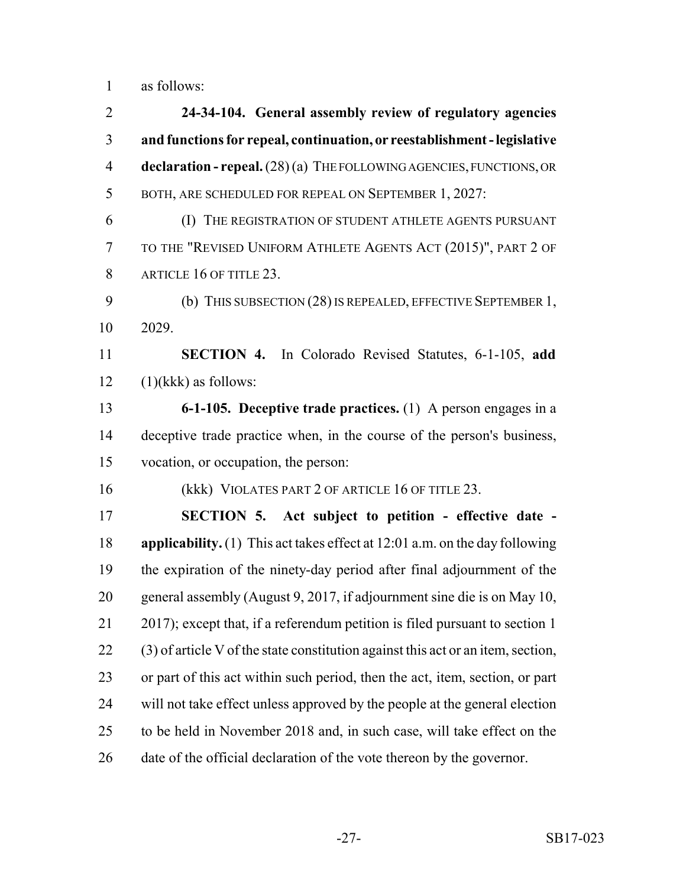as follows:

 **24-34-104. General assembly review of regulatory agencies and functions for repeal, continuation, or reestablishment - legislative declaration - repeal.** (28) (a) THE FOLLOWING AGENCIES, FUNCTIONS, OR BOTH, ARE SCHEDULED FOR REPEAL ON SEPTEMBER 1, 2027: (I) THE REGISTRATION OF STUDENT ATHLETE AGENTS PURSUANT TO THE "REVISED UNIFORM ATHLETE AGENTS ACT (2015)", PART 2 OF 8 ARTICLE 16 OF TITLE 23. (b) THIS SUBSECTION (28) IS REPEALED, EFFECTIVE SEPTEMBER 1, 2029. **SECTION 4.** In Colorado Revised Statutes, 6-1-105, **add**  $12 \quad (1)$ (kkk) as follows: **6-1-105. Deceptive trade practices.** (1) A person engages in a deceptive trade practice when, in the course of the person's business, vocation, or occupation, the person: 16 (kkk) VIOLATES PART 2 OF ARTICLE 16 OF TITLE 23. **SECTION 5. Act subject to petition - effective date - applicability.** (1) This act takes effect at 12:01 a.m. on the day following the expiration of the ninety-day period after final adjournment of the general assembly (August 9, 2017, if adjournment sine die is on May 10, 2017); except that, if a referendum petition is filed pursuant to section 1 (3) of article V of the state constitution against this act or an item, section, or part of this act within such period, then the act, item, section, or part will not take effect unless approved by the people at the general election to be held in November 2018 and, in such case, will take effect on the date of the official declaration of the vote thereon by the governor.